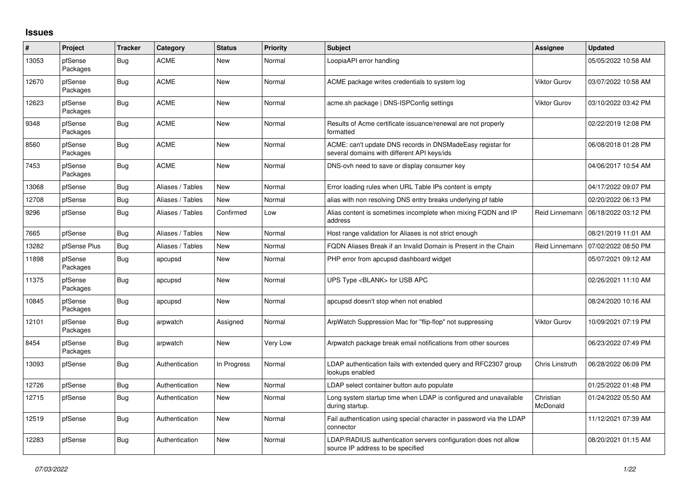## **Issues**

| #     | Project             | <b>Tracker</b> | Category         | <b>Status</b> | <b>Priority</b> | <b>Subject</b>                                                                                            | <b>Assignee</b>        | <b>Updated</b>      |
|-------|---------------------|----------------|------------------|---------------|-----------------|-----------------------------------------------------------------------------------------------------------|------------------------|---------------------|
| 13053 | pfSense<br>Packages | Bug            | <b>ACME</b>      | New           | Normal          | LoopiaAPI error handling                                                                                  |                        | 05/05/2022 10:58 AM |
| 12670 | pfSense<br>Packages | Bug            | <b>ACME</b>      | New           | Normal          | ACME package writes credentials to system log                                                             | <b>Viktor Gurov</b>    | 03/07/2022 10:58 AM |
| 12623 | pfSense<br>Packages | Bug            | <b>ACME</b>      | New           | Normal          | acme.sh package   DNS-ISPConfig settings                                                                  | <b>Viktor Gurov</b>    | 03/10/2022 03:42 PM |
| 9348  | pfSense<br>Packages | <b>Bug</b>     | <b>ACME</b>      | New           | Normal          | Results of Acme certificate issuance/renewal are not properly<br>formatted                                |                        | 02/22/2019 12:08 PM |
| 8560  | pfSense<br>Packages | <b>Bug</b>     | <b>ACME</b>      | <b>New</b>    | Normal          | ACME: can't update DNS records in DNSMadeEasy registar for<br>several domains with different API keys/ids |                        | 06/08/2018 01:28 PM |
| 7453  | pfSense<br>Packages | Bug            | <b>ACME</b>      | New           | Normal          | DNS-ovh need to save or display consumer key                                                              |                        | 04/06/2017 10:54 AM |
| 13068 | pfSense             | Bug            | Aliases / Tables | New           | Normal          | Error loading rules when URL Table IPs content is empty                                                   |                        | 04/17/2022 09:07 PM |
| 12708 | pfSense             | Bug            | Aliases / Tables | New           | Normal          | alias with non resolving DNS entry breaks underlying pf table                                             |                        | 02/20/2022 06:13 PM |
| 9296  | pfSense             | <b>Bug</b>     | Aliases / Tables | Confirmed     | Low             | Alias content is sometimes incomplete when mixing FQDN and IP<br>address                                  | Reid Linnemann         | 06/18/2022 03:12 PM |
| 7665  | pfSense             | <b>Bug</b>     | Aliases / Tables | New           | Normal          | Host range validation for Aliases is not strict enough                                                    |                        | 08/21/2019 11:01 AM |
| 13282 | pfSense Plus        | Bug            | Aliases / Tables | New           | Normal          | FQDN Aliases Break if an Invalid Domain is Present in the Chain                                           | Reid Linnemann         | 07/02/2022 08:50 PM |
| 11898 | pfSense<br>Packages | Bug            | apcupsd          | New           | Normal          | PHP error from apcupsd dashboard widget                                                                   |                        | 05/07/2021 09:12 AM |
| 11375 | pfSense<br>Packages | <b>Bug</b>     | apcupsd          | New           | Normal          | UPS Type <blank> for USB APC</blank>                                                                      |                        | 02/26/2021 11:10 AM |
| 10845 | pfSense<br>Packages | <b>Bug</b>     | apcupsd          | <b>New</b>    | Normal          | apcupsd doesn't stop when not enabled                                                                     |                        | 08/24/2020 10:16 AM |
| 12101 | pfSense<br>Packages | <b>Bug</b>     | arpwatch         | Assigned      | Normal          | ArpWatch Suppression Mac for "flip-flop" not suppressing                                                  | Viktor Gurov           | 10/09/2021 07:19 PM |
| 8454  | pfSense<br>Packages | Bug            | arpwatch         | New           | Very Low        | Arpwatch package break email notifications from other sources                                             |                        | 06/23/2022 07:49 PM |
| 13093 | pfSense             | Bug            | Authentication   | In Progress   | Normal          | LDAP authentication fails with extended query and RFC2307 group<br>lookups enabled                        | <b>Chris Linstruth</b> | 06/28/2022 06:09 PM |
| 12726 | pfSense             | Bug            | Authentication   | New           | Normal          | LDAP select container button auto populate                                                                |                        | 01/25/2022 01:48 PM |
| 12715 | pfSense             | Bug            | Authentication   | New           | Normal          | Long system startup time when LDAP is configured and unavailable<br>during startup.                       | Christian<br>McDonald  | 01/24/2022 05:50 AM |
| 12519 | pfSense             | Bug            | Authentication   | <b>New</b>    | Normal          | Fail authentication using special character in password via the LDAP<br>connector                         |                        | 11/12/2021 07:39 AM |
| 12283 | pfSense             | Bug            | Authentication   | New           | Normal          | LDAP/RADIUS authentication servers configuration does not allow<br>source IP address to be specified      |                        | 08/20/2021 01:15 AM |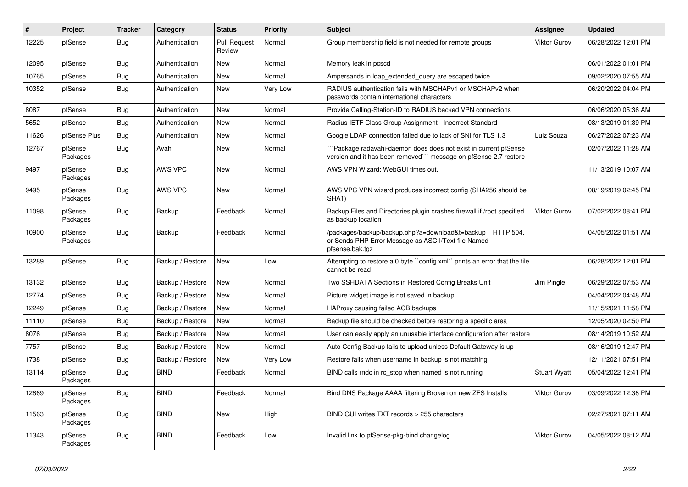| #     | Project             | <b>Tracker</b> | Category         | <b>Status</b>                 | Priority | <b>Subject</b>                                                                                                                       | Assignee            | <b>Updated</b>      |
|-------|---------------------|----------------|------------------|-------------------------------|----------|--------------------------------------------------------------------------------------------------------------------------------------|---------------------|---------------------|
| 12225 | pfSense             | Bug            | Authentication   | <b>Pull Request</b><br>Review | Normal   | Group membership field is not needed for remote groups                                                                               | <b>Viktor Gurov</b> | 06/28/2022 12:01 PM |
| 12095 | pfSense             | <b>Bug</b>     | Authentication   | New                           | Normal   | Memory leak in pcscd                                                                                                                 |                     | 06/01/2022 01:01 PM |
| 10765 | pfSense             | <b>Bug</b>     | Authentication   | New                           | Normal   | Ampersands in Idap extended query are escaped twice                                                                                  |                     | 09/02/2020 07:55 AM |
| 10352 | pfSense             | Bug            | Authentication   | <b>New</b>                    | Very Low | RADIUS authentication fails with MSCHAPv1 or MSCHAPv2 when<br>passwords contain international characters                             |                     | 06/20/2022 04:04 PM |
| 8087  | pfSense             | Bug            | Authentication   | <b>New</b>                    | Normal   | Provide Calling-Station-ID to RADIUS backed VPN connections                                                                          |                     | 06/06/2020 05:36 AM |
| 5652  | pfSense             | <b>Bug</b>     | Authentication   | New                           | Normal   | Radius IETF Class Group Assignment - Incorrect Standard                                                                              |                     | 08/13/2019 01:39 PM |
| 11626 | pfSense Plus        | Bug            | Authentication   | <b>New</b>                    | Normal   | Google LDAP connection failed due to lack of SNI for TLS 1.3                                                                         | Luiz Souza          | 06/27/2022 07:23 AM |
| 12767 | pfSense<br>Packages | Bug            | Avahi            | New                           | Normal   | `Package radavahi-daemon does does not exist in current pfSense<br>version and it has been removed``` message on pfSense 2.7 restore |                     | 02/07/2022 11:28 AM |
| 9497  | pfSense<br>Packages | <b>Bug</b>     | AWS VPC          | <b>New</b>                    | Normal   | AWS VPN Wizard: WebGUI times out.                                                                                                    |                     | 11/13/2019 10:07 AM |
| 9495  | pfSense<br>Packages | <b>Bug</b>     | AWS VPC          | New                           | Normal   | AWS VPC VPN wizard produces incorrect config (SHA256 should be<br>SHA <sub>1</sub> )                                                 |                     | 08/19/2019 02:45 PM |
| 11098 | pfSense<br>Packages | <b>Bug</b>     | Backup           | Feedback                      | Normal   | Backup Files and Directories plugin crashes firewall if /root specified<br>as backup location                                        | Viktor Gurov        | 07/02/2022 08:41 PM |
| 10900 | pfSense<br>Packages | <b>Bug</b>     | Backup           | Feedback                      | Normal   | /packages/backup/backup.php?a=download&t=backup HTTP 504,<br>or Sends PHP Error Message as ASCII/Text file Named<br>pfsense.bak.tgz  |                     | 04/05/2022 01:51 AM |
| 13289 | pfSense             | Bug            | Backup / Restore | New                           | Low      | Attempting to restore a 0 byte "config.xml" prints an error that the file<br>cannot be read                                          |                     | 06/28/2022 12:01 PM |
| 13132 | pfSense             | <b>Bug</b>     | Backup / Restore | New                           | Normal   | Two SSHDATA Sections in Restored Config Breaks Unit                                                                                  | Jim Pingle          | 06/29/2022 07:53 AM |
| 12774 | pfSense             | <b>Bug</b>     | Backup / Restore | New                           | Normal   | Picture widget image is not saved in backup                                                                                          |                     | 04/04/2022 04:48 AM |
| 12249 | pfSense             | Bug            | Backup / Restore | New                           | Normal   | HAProxy causing failed ACB backups                                                                                                   |                     | 11/15/2021 11:58 PM |
| 11110 | pfSense             | Bug            | Backup / Restore | New                           | Normal   | Backup file should be checked before restoring a specific area                                                                       |                     | 12/05/2020 02:50 PM |
| 8076  | pfSense             | <b>Bug</b>     | Backup / Restore | New                           | Normal   | User can easily apply an unusable interface configuration after restore                                                              |                     | 08/14/2019 10:52 AM |
| 7757  | pfSense             | <b>Bug</b>     | Backup / Restore | New                           | Normal   | Auto Config Backup fails to upload unless Default Gateway is up                                                                      |                     | 08/16/2019 12:47 PM |
| 1738  | pfSense             | <b>Bug</b>     | Backup / Restore | New                           | Very Low | Restore fails when username in backup is not matching                                                                                |                     | 12/11/2021 07:51 PM |
| 13114 | pfSense<br>Packages | Bug            | <b>BIND</b>      | Feedback                      | Normal   | BIND calls rndc in rc stop when named is not running                                                                                 | <b>Stuart Wyatt</b> | 05/04/2022 12:41 PM |
| 12869 | pfSense<br>Packages | <b>Bug</b>     | <b>BIND</b>      | Feedback                      | Normal   | Bind DNS Package AAAA filtering Broken on new ZFS Installs                                                                           | Viktor Gurov        | 03/09/2022 12:38 PM |
| 11563 | pfSense<br>Packages | Bug            | <b>BIND</b>      | <b>New</b>                    | High     | BIND GUI writes TXT records > 255 characters                                                                                         |                     | 02/27/2021 07:11 AM |
| 11343 | pfSense<br>Packages | <b>Bug</b>     | <b>BIND</b>      | Feedback                      | Low      | Invalid link to pfSense-pkg-bind changelog                                                                                           | Viktor Gurov        | 04/05/2022 08:12 AM |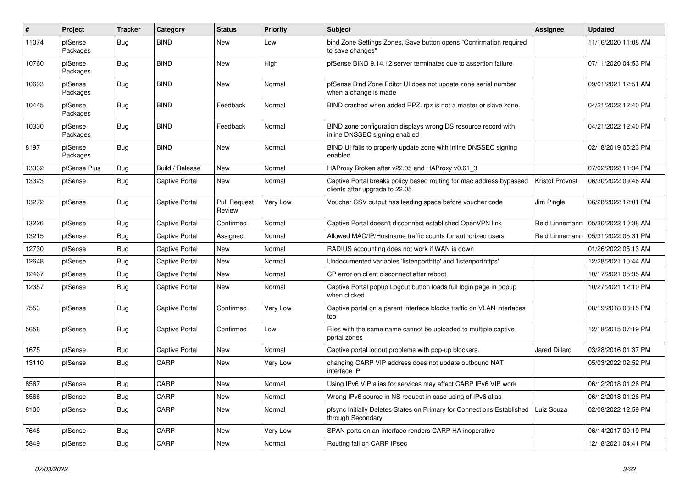| $\sharp$ | <b>Project</b>      | <b>Tracker</b> | Category              | <b>Status</b>                 | <b>Priority</b> | <b>Subject</b>                                                                                        | <b>Assignee</b>      | <b>Updated</b>      |
|----------|---------------------|----------------|-----------------------|-------------------------------|-----------------|-------------------------------------------------------------------------------------------------------|----------------------|---------------------|
| 11074    | pfSense<br>Packages | <b>Bug</b>     | <b>BIND</b>           | <b>New</b>                    | Low             | bind Zone Settings Zones, Save button opens "Confirmation required<br>to save changes"                |                      | 11/16/2020 11:08 AM |
| 10760    | pfSense<br>Packages | Bug            | <b>BIND</b>           | New                           | High            | pfSense BIND 9.14.12 server terminates due to assertion failure                                       |                      | 07/11/2020 04:53 PM |
| 10693    | pfSense<br>Packages | Bug            | <b>BIND</b>           | <b>New</b>                    | Normal          | pfSense Bind Zone Editor UI does not update zone serial number<br>when a change is made               |                      | 09/01/2021 12:51 AM |
| 10445    | pfSense<br>Packages | <b>Bug</b>     | <b>BIND</b>           | Feedback                      | Normal          | BIND crashed when added RPZ. rpz is not a master or slave zone.                                       |                      | 04/21/2022 12:40 PM |
| 10330    | pfSense<br>Packages | Bug            | <b>BIND</b>           | Feedback                      | Normal          | BIND zone configuration displays wrong DS resource record with<br>inline DNSSEC signing enabled       |                      | 04/21/2022 12:40 PM |
| 8197     | pfSense<br>Packages | <b>Bug</b>     | <b>BIND</b>           | <b>New</b>                    | Normal          | BIND UI fails to properly update zone with inline DNSSEC signing<br>enabled                           |                      | 02/18/2019 05:23 PM |
| 13332    | pfSense Plus        | Bug            | Build / Release       | <b>New</b>                    | Normal          | HAProxy Broken after v22.05 and HAProxy v0.61 3                                                       |                      | 07/02/2022 11:34 PM |
| 13323    | pfSense             | <b>Bug</b>     | <b>Captive Portal</b> | <b>New</b>                    | Normal          | Captive Portal breaks policy based routing for mac address bypassed<br>clients after upgrade to 22.05 | Kristof Provost      | 06/30/2022 09:46 AM |
| 13272    | pfSense             | Bug            | Captive Portal        | <b>Pull Request</b><br>Review | Very Low        | Voucher CSV output has leading space before voucher code                                              | Jim Pingle           | 06/28/2022 12:01 PM |
| 13226    | pfSense             | Bug            | Captive Portal        | Confirmed                     | Normal          | Captive Portal doesn't disconnect established OpenVPN link                                            | Reid Linnemann       | 05/30/2022 10:38 AM |
| 13215    | pfSense             | Bug            | <b>Captive Portal</b> | Assigned                      | Normal          | Allowed MAC/IP/Hostname traffic counts for authorized users                                           | Reid Linnemann       | 05/31/2022 05:31 PM |
| 12730    | pfSense             | Bug            | Captive Portal        | New                           | Normal          | RADIUS accounting does not work if WAN is down                                                        |                      | 01/26/2022 05:13 AM |
| 12648    | pfSense             | Bug            | <b>Captive Portal</b> | <b>New</b>                    | Normal          | Undocumented variables 'listenporthttp' and 'listenporthttps'                                         |                      | 12/28/2021 10:44 AM |
| 12467    | pfSense             | Bug            | Captive Portal        | New                           | Normal          | CP error on client disconnect after reboot                                                            |                      | 10/17/2021 05:35 AM |
| 12357    | pfSense             | <b>Bug</b>     | <b>Captive Portal</b> | <b>New</b>                    | Normal          | Captive Portal popup Logout button loads full login page in popup<br>when clicked                     |                      | 10/27/2021 12:10 PM |
| 7553     | pfSense             | Bug            | <b>Captive Portal</b> | Confirmed                     | Very Low        | Captive portal on a parent interface blocks traffic on VLAN interfaces<br>too                         |                      | 08/19/2018 03:15 PM |
| 5658     | pfSense             | <b>Bug</b>     | Captive Portal        | Confirmed                     | Low             | Files with the same name cannot be uploaded to multiple captive<br>portal zones                       |                      | 12/18/2015 07:19 PM |
| 1675     | pfSense             | <b>Bug</b>     | Captive Portal        | <b>New</b>                    | Normal          | Captive portal logout problems with pop-up blockers.                                                  | <b>Jared Dillard</b> | 03/28/2016 01:37 PM |
| 13110    | pfSense             | Bug            | CARP                  | New                           | Very Low        | changing CARP VIP address does not update outbound NAT<br>interface IP                                |                      | 05/03/2022 02:52 PM |
| 8567     | pfSense             | Bug            | CARP                  | New                           | Normal          | Using IPv6 VIP alias for services may affect CARP IPv6 VIP work                                       |                      | 06/12/2018 01:26 PM |
| 8566     | pfSense             | Bug            | CARP                  | New                           | Normal          | Wrong IPv6 source in NS request in case using of IPv6 alias                                           |                      | 06/12/2018 01:26 PM |
| 8100     | pfSense             | Bug            | CARP                  | New                           | Normal          | pfsync Initially Deletes States on Primary for Connections Established<br>through Secondary           | Luiz Souza           | 02/08/2022 12:59 PM |
| 7648     | pfSense             | <b>Bug</b>     | CARP                  | New                           | Very Low        | SPAN ports on an interface renders CARP HA inoperative                                                |                      | 06/14/2017 09:19 PM |
| 5849     | pfSense             | <b>Bug</b>     | CARP                  | New                           | Normal          | Routing fail on CARP IPsec                                                                            |                      | 12/18/2021 04:41 PM |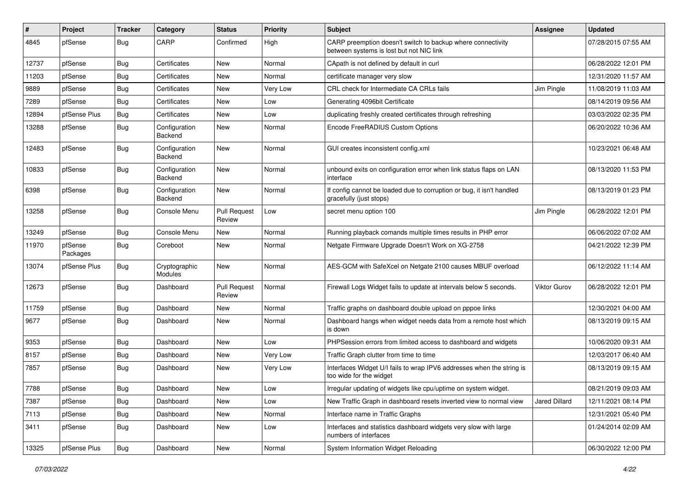| ∦     | Project             | <b>Tracker</b> | Category                        | <b>Status</b>                 | Priority | <b>Subject</b>                                                                                          | <b>Assignee</b> | <b>Updated</b>      |
|-------|---------------------|----------------|---------------------------------|-------------------------------|----------|---------------------------------------------------------------------------------------------------------|-----------------|---------------------|
| 4845  | pfSense             | <b>Bug</b>     | CARP                            | Confirmed                     | High     | CARP preemption doesn't switch to backup where connectivity<br>between systems is lost but not NIC link |                 | 07/28/2015 07:55 AM |
| 12737 | pfSense             | Bug            | Certificates                    | New                           | Normal   | CApath is not defined by default in curl                                                                |                 | 06/28/2022 12:01 PM |
| 11203 | pfSense             | <b>Bug</b>     | Certificates                    | New                           | Normal   | certificate manager very slow                                                                           |                 | 12/31/2020 11:57 AM |
| 9889  | pfSense             | Bug            | Certificates                    | <b>New</b>                    | Very Low | CRL check for Intermediate CA CRLs fails                                                                | Jim Pingle      | 11/08/2019 11:03 AM |
| 7289  | pfSense             | Bug            | Certificates                    | <b>New</b>                    | Low      | Generating 4096bit Certificate                                                                          |                 | 08/14/2019 09:56 AM |
| 12894 | pfSense Plus        | <b>Bug</b>     | Certificates                    | New                           | Low      | duplicating freshly created certificates through refreshing                                             |                 | 03/03/2022 02:35 PM |
| 13288 | pfSense             | <b>Bug</b>     | Configuration<br>Backend        | <b>New</b>                    | Normal   | Encode FreeRADIUS Custom Options                                                                        |                 | 06/20/2022 10:36 AM |
| 12483 | pfSense             | <b>Bug</b>     | Configuration<br>Backend        | <b>New</b>                    | Normal   | GUI creates inconsistent config.xml                                                                     |                 | 10/23/2021 06:48 AM |
| 10833 | pfSense             | <b>Bug</b>     | Configuration<br>Backend        | <b>New</b>                    | Normal   | unbound exits on configuration error when link status flaps on LAN<br>interface                         |                 | 08/13/2020 11:53 PM |
| 6398  | pfSense             | <b>Bug</b>     | Configuration<br>Backend        | New                           | Normal   | If config cannot be loaded due to corruption or bug, it isn't handled<br>gracefully (just stops)        |                 | 08/13/2019 01:23 PM |
| 13258 | pfSense             | <b>Bug</b>     | Console Menu                    | <b>Pull Request</b><br>Review | Low      | secret menu option 100                                                                                  | Jim Pingle      | 06/28/2022 12:01 PM |
| 13249 | pfSense             | <b>Bug</b>     | Console Menu                    | New                           | Normal   | Running playback comands multiple times results in PHP error                                            |                 | 06/06/2022 07:02 AM |
| 11970 | pfSense<br>Packages | Bug            | Coreboot                        | <b>New</b>                    | Normal   | Netgate Firmware Upgrade Doesn't Work on XG-2758                                                        |                 | 04/21/2022 12:39 PM |
| 13074 | pfSense Plus        | Bug            | Cryptographic<br><b>Modules</b> | <b>New</b>                    | Normal   | AES-GCM with SafeXcel on Netgate 2100 causes MBUF overload                                              |                 | 06/12/2022 11:14 AM |
| 12673 | pfSense             | Bug            | Dashboard                       | <b>Pull Request</b><br>Review | Normal   | Firewall Logs Widget fails to update at intervals below 5 seconds.                                      | Viktor Gurov    | 06/28/2022 12:01 PM |
| 11759 | pfSense             | Bug            | Dashboard                       | New                           | Normal   | Traffic graphs on dashboard double upload on pppoe links                                                |                 | 12/30/2021 04:00 AM |
| 9677  | pfSense             | <b>Bug</b>     | Dashboard                       | <b>New</b>                    | Normal   | Dashboard hangs when widget needs data from a remote host which<br>is down                              |                 | 08/13/2019 09:15 AM |
| 9353  | pfSense             | <b>Bug</b>     | Dashboard                       | <b>New</b>                    | Low      | PHPSession errors from limited access to dashboard and widgets                                          |                 | 10/06/2020 09:31 AM |
| 8157  | pfSense             | <b>Bug</b>     | Dashboard                       | New                           | Very Low | Traffic Graph clutter from time to time                                                                 |                 | 12/03/2017 06:40 AM |
| 7857  | pfSense             | <b>Bug</b>     | Dashboard                       | <b>New</b>                    | Very Low | Interfaces Widget U/I fails to wrap IPV6 addresses when the string is<br>too wide for the widget        |                 | 08/13/2019 09:15 AM |
| 7788  | pfSense             | Bug            | Dashboard                       | New                           | Low      | Irregular updating of widgets like cpu/uptime on system widget.                                         |                 | 08/21/2019 09:03 AM |
| 7387  | pfSense             | Bug            | Dashboard                       | New                           | Low      | New Traffic Graph in dashboard resets inverted view to normal view                                      | Jared Dillard   | 12/11/2021 08:14 PM |
| 7113  | pfSense             | <b>Bug</b>     | Dashboard                       | New                           | Normal   | Interface name in Traffic Graphs                                                                        |                 | 12/31/2021 05:40 PM |
| 3411  | pfSense             | Bug            | Dashboard                       | New                           | Low      | Interfaces and statistics dashboard widgets very slow with large<br>numbers of interfaces               |                 | 01/24/2014 02:09 AM |
| 13325 | pfSense Plus        | <b>Bug</b>     | Dashboard                       | New                           | Normal   | System Information Widget Reloading                                                                     |                 | 06/30/2022 12:00 PM |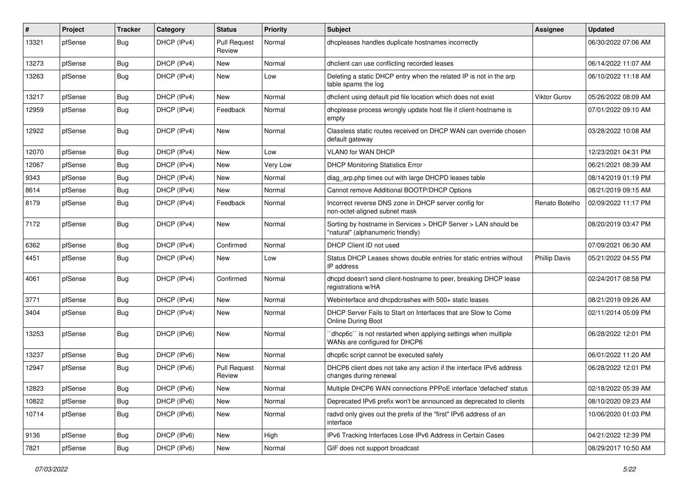| ∦     | Project | <b>Tracker</b> | Category    | <b>Status</b>                 | <b>Priority</b> | <b>Subject</b>                                                                                     | <b>Assignee</b>      | <b>Updated</b>      |
|-------|---------|----------------|-------------|-------------------------------|-----------------|----------------------------------------------------------------------------------------------------|----------------------|---------------------|
| 13321 | pfSense | Bug            | DHCP (IPv4) | <b>Pull Request</b><br>Review | Normal          | dhcpleases handles duplicate hostnames incorrectly                                                 |                      | 06/30/2022 07:06 AM |
| 13273 | pfSense | Bug            | DHCP (IPv4) | New                           | Normal          | dhclient can use conflicting recorded leases                                                       |                      | 06/14/2022 11:07 AM |
| 13263 | pfSense | <b>Bug</b>     | DHCP (IPv4) | <b>New</b>                    | Low             | Deleting a static DHCP entry when the related IP is not in the arp<br>table spams the log          |                      | 06/10/2022 11:18 AM |
| 13217 | pfSense | <b>Bug</b>     | DHCP (IPv4) | <b>New</b>                    | Normal          | dhclient using default pid file location which does not exist                                      | <b>Viktor Gurov</b>  | 05/26/2022 08:09 AM |
| 12959 | pfSense | Bug            | DHCP (IPv4) | Feedback                      | Normal          | dhcplease process wrongly update host file if client-hostname is<br>empty                          |                      | 07/01/2022 09:10 AM |
| 12922 | pfSense | <b>Bug</b>     | DHCP (IPv4) | New                           | Normal          | Classless static routes received on DHCP WAN can override chosen<br>default gateway                |                      | 03/28/2022 10:08 AM |
| 12070 | pfSense | Bug            | DHCP (IPv4) | New                           | Low             | VLAN0 for WAN DHCP                                                                                 |                      | 12/23/2021 04:31 PM |
| 12067 | pfSense | Bug            | DHCP (IPv4) | New                           | Very Low        | <b>DHCP Monitoring Statistics Error</b>                                                            |                      | 06/21/2021 08:39 AM |
| 9343  | pfSense | Bug            | DHCP (IPv4) | <b>New</b>                    | Normal          | diag_arp.php times out with large DHCPD leases table                                               |                      | 08/14/2019 01:19 PM |
| 8614  | pfSense | <b>Bug</b>     | DHCP (IPv4) | New                           | Normal          | Cannot remove Additional BOOTP/DHCP Options                                                        |                      | 08/21/2019 09:15 AM |
| 8179  | pfSense | <b>Bug</b>     | DHCP (IPv4) | Feedback                      | Normal          | Incorrect reverse DNS zone in DHCP server config for<br>non-octet-aligned subnet mask              | Renato Botelho       | 02/09/2022 11:17 PM |
| 7172  | pfSense | <b>Bug</b>     | DHCP (IPv4) | New                           | Normal          | Sorting by hostname in Services > DHCP Server > LAN should be<br>"natural" (alphanumeric friendly) |                      | 08/20/2019 03:47 PM |
| 6362  | pfSense | Bug            | DHCP (IPv4) | Confirmed                     | Normal          | DHCP Client ID not used                                                                            |                      | 07/09/2021 06:30 AM |
| 4451  | pfSense | Bug            | DHCP (IPv4) | New                           | Low             | Status DHCP Leases shows double entries for static entries without<br>IP address                   | <b>Phillip Davis</b> | 05/21/2022 04:55 PM |
| 4061  | pfSense | Bug            | DHCP (IPv4) | Confirmed                     | Normal          | dhcpd doesn't send client-hostname to peer, breaking DHCP lease<br>registrations w/HA              |                      | 02/24/2017 08:58 PM |
| 3771  | pfSense | Bug            | DHCP (IPv4) | New                           | Normal          | Webinterface and dhcpdcrashes with 500+ static leases                                              |                      | 08/21/2019 09:26 AM |
| 3404  | pfSense | <b>Bug</b>     | DHCP (IPv4) | New                           | Normal          | DHCP Server Fails to Start on Interfaces that are Slow to Come<br><b>Online During Boot</b>        |                      | 02/11/2014 05:09 PM |
| 13253 | pfSense | <b>Bug</b>     | DHCP (IPv6) | <b>New</b>                    | Normal          | 'dhcp6c'' is not restarted when applying settings when multiple<br>WANs are configured for DHCP6   |                      | 06/28/2022 12:01 PM |
| 13237 | pfSense | <b>Bug</b>     | DHCP (IPv6) | <b>New</b>                    | Normal          | dhcp6c script cannot be executed safely                                                            |                      | 06/01/2022 11:20 AM |
| 12947 | pfSense | Bug            | DHCP (IPv6) | <b>Pull Request</b><br>Review | Normal          | DHCP6 client does not take any action if the interface IPv6 address<br>changes during renewal      |                      | 06/28/2022 12:01 PM |
| 12823 | pfSense | <b>Bug</b>     | DHCP (IPv6) | New                           | Normal          | Multiple DHCP6 WAN connections PPPoE interface 'defached' status                                   |                      | 02/18/2022 05:39 AM |
| 10822 | pfSense | Bug            | DHCP (IPv6) | New                           | Normal          | Deprecated IPv6 prefix won't be announced as deprecated to clients                                 |                      | 08/10/2020 09:23 AM |
| 10714 | pfSense | Bug            | DHCP (IPv6) | New                           | Normal          | radvd only gives out the prefix of the "first" IPv6 address of an<br>interface                     |                      | 10/06/2020 01:03 PM |
| 9136  | pfSense | <b>Bug</b>     | DHCP (IPv6) | New                           | High            | IPv6 Tracking Interfaces Lose IPv6 Address in Certain Cases                                        |                      | 04/21/2022 12:39 PM |
| 7821  | pfSense | <b>Bug</b>     | DHCP (IPv6) | New                           | Normal          | GIF does not support broadcast                                                                     |                      | 08/29/2017 10:50 AM |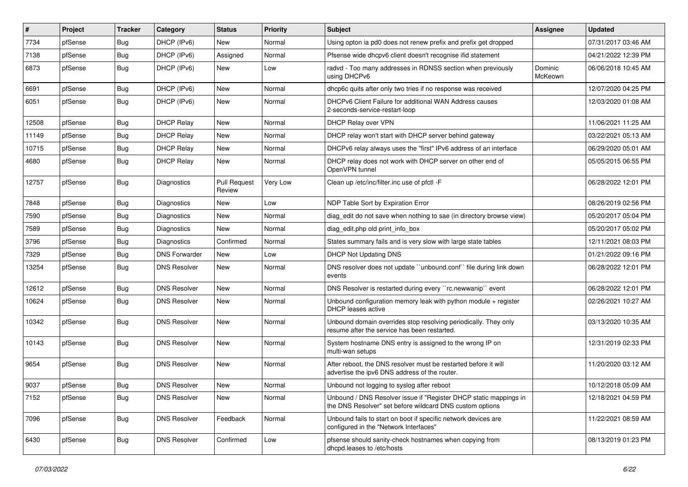| $\vert$ # | Project | <b>Tracker</b> | Category             | <b>Status</b>                 | Priority | Subject                                                                                                                       | <b>Assignee</b>    | <b>Updated</b>      |
|-----------|---------|----------------|----------------------|-------------------------------|----------|-------------------------------------------------------------------------------------------------------------------------------|--------------------|---------------------|
| 7734      | pfSense | Bug            | DHCP (IPv6)          | New                           | Normal   | Using opton ia pd0 does not renew prefix and prefix get dropped                                                               |                    | 07/31/2017 03:46 AM |
| 7138      | pfSense | Bug            | DHCP (IPv6)          | Assigned                      | Normal   | Pfsense wide dhcpv6 client doesn't recognise if id statement                                                                  |                    | 04/21/2022 12:39 PM |
| 6873      | pfSense | <b>Bug</b>     | DHCP (IPv6)          | New                           | Low      | radvd - Too many addresses in RDNSS section when previously<br>using DHCPv6                                                   | Dominic<br>McKeown | 06/06/2018 10:45 AM |
| 6691      | pfSense | Bug            | DHCP (IPv6)          | <b>New</b>                    | Normal   | dhcp6c quits after only two tries if no response was received                                                                 |                    | 12/07/2020 04:25 PM |
| 6051      | pfSense | <b>Bug</b>     | DHCP (IPv6)          | New                           | Normal   | DHCPv6 Client Failure for additional WAN Address causes<br>2-seconds-service-restart-loop                                     |                    | 12/03/2020 01:08 AM |
| 12508     | pfSense | Bug            | <b>DHCP Relay</b>    | <b>New</b>                    | Normal   | DHCP Relay over VPN                                                                                                           |                    | 11/06/2021 11:25 AM |
| 11149     | pfSense | Bug            | <b>DHCP Relav</b>    | New                           | Normal   | DHCP relay won't start with DHCP server behind gateway                                                                        |                    | 03/22/2021 05:13 AM |
| 10715     | pfSense | Bug            | <b>DHCP Relay</b>    | <b>New</b>                    | Normal   | DHCPv6 relay always uses the "first" IPv6 address of an interface                                                             |                    | 06/29/2020 05:01 AM |
| 4680      | pfSense | Bug            | <b>DHCP Relay</b>    | New                           | Normal   | DHCP relay does not work with DHCP server on other end of<br>OpenVPN tunnel                                                   |                    | 05/05/2015 06:55 PM |
| 12757     | pfSense | Bug            | Diagnostics          | <b>Pull Request</b><br>Review | Very Low | Clean up /etc/inc/filter.inc use of pfctl -F                                                                                  |                    | 06/28/2022 12:01 PM |
| 7848      | pfSense | Bug            | Diagnostics          | New                           | Low      | NDP Table Sort by Expiration Error                                                                                            |                    | 08/26/2019 02:56 PM |
| 7590      | pfSense | Bug            | Diagnostics          | New                           | Normal   | diag edit do not save when nothing to sae (in directory browse view)                                                          |                    | 05/20/2017 05:04 PM |
| 7589      | pfSense | Bug            | <b>Diagnostics</b>   | New                           | Normal   | diag edit.php old print info box                                                                                              |                    | 05/20/2017 05:02 PM |
| 3796      | pfSense | Bug            | <b>Diagnostics</b>   | Confirmed                     | Normal   | States summary fails and is very slow with large state tables                                                                 |                    | 12/11/2021 08:03 PM |
| 7329      | pfSense | Bug            | <b>DNS Forwarder</b> | New                           | Low      | DHCP Not Updating DNS                                                                                                         |                    | 01/21/2022 09:16 PM |
| 13254     | pfSense | Bug            | <b>DNS Resolver</b>  | New                           | Normal   | DNS resolver does not update "unbound.conf" file during link down<br>events                                                   |                    | 06/28/2022 12:01 PM |
| 12612     | pfSense | Bug            | <b>DNS Resolver</b>  | <b>New</b>                    | Normal   | DNS Resolver is restarted during every "rc.newwanip" event                                                                    |                    | 06/28/2022 12:01 PM |
| 10624     | pfSense | <b>Bug</b>     | <b>DNS Resolver</b>  | New                           | Normal   | Unbound configuration memory leak with python module $+$ register<br>DHCP leases active                                       |                    | 02/26/2021 10:27 AM |
| 10342     | pfSense | Bug            | <b>DNS Resolver</b>  | <b>New</b>                    | Normal   | Unbound domain overrides stop resolving periodically. They only<br>resume after the service has been restarted.               |                    | 03/13/2020 10:35 AM |
| 10143     | pfSense | <b>Bug</b>     | <b>DNS Resolver</b>  | New                           | Normal   | System hostname DNS entry is assigned to the wrong IP on<br>multi-wan setups                                                  |                    | 12/31/2019 02:33 PM |
| 9654      | pfSense | Bug            | <b>DNS Resolver</b>  | <b>New</b>                    | Normal   | After reboot, the DNS resolver must be restarted before it will<br>advertise the ipv6 DNS address of the router.              |                    | 11/20/2020 03:12 AM |
| 9037      | pfSense | Bug            | <b>DNS Resolver</b>  | New                           | Normal   | Unbound not logging to syslog after reboot                                                                                    |                    | 10/12/2018 05:09 AM |
| 7152      | pfSense | <b>Bug</b>     | <b>DNS Resolver</b>  | New                           | Normal   | Unbound / DNS Resolver issue if "Register DHCP static mappings in<br>the DNS Resolver" set before wildcard DNS custom options |                    | 12/18/2021 04:59 PM |
| 7096      | pfSense | <b>Bug</b>     | <b>DNS Resolver</b>  | Feedback                      | Normal   | Unbound fails to start on boot if specific network devices are<br>configured in the "Network Interfaces"                      |                    | 11/22/2021 08:59 AM |
| 6430      | pfSense | <b>Bug</b>     | <b>DNS Resolver</b>  | Confirmed                     | Low      | pfsense should sanity-check hostnames when copying from<br>dhcpd.leases to /etc/hosts                                         |                    | 08/13/2019 01:23 PM |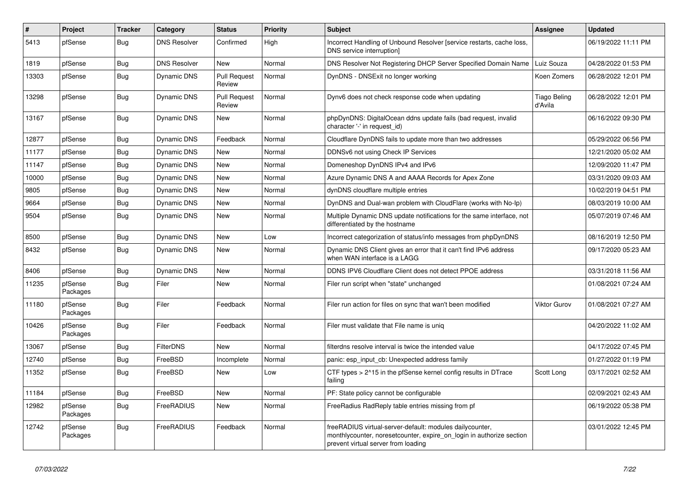| #     | Project             | <b>Tracker</b> | Category            | <b>Status</b>                 | <b>Priority</b> | <b>Subject</b>                                                                                                                                                          | <b>Assignee</b>         | <b>Updated</b>      |
|-------|---------------------|----------------|---------------------|-------------------------------|-----------------|-------------------------------------------------------------------------------------------------------------------------------------------------------------------------|-------------------------|---------------------|
| 5413  | pfSense             | Bug            | <b>DNS Resolver</b> | Confirmed                     | High            | Incorrect Handling of Unbound Resolver [service restarts, cache loss,<br>DNS service interruption]                                                                      |                         | 06/19/2022 11:11 PM |
| 1819  | pfSense             | Bug            | <b>DNS Resolver</b> | New                           | Normal          | DNS Resolver Not Registering DHCP Server Specified Domain Name                                                                                                          | Luiz Souza              | 04/28/2022 01:53 PM |
| 13303 | pfSense             | Bug            | <b>Dynamic DNS</b>  | <b>Pull Request</b><br>Review | Normal          | DynDNS - DNSExit no longer working                                                                                                                                      | Koen Zomers             | 06/28/2022 12:01 PM |
| 13298 | pfSense             | <b>Bug</b>     | <b>Dynamic DNS</b>  | <b>Pull Request</b><br>Review | Normal          | Dynv6 does not check response code when updating                                                                                                                        | Tiago Beling<br>d'Avila | 06/28/2022 12:01 PM |
| 13167 | pfSense             | <b>Bug</b>     | <b>Dynamic DNS</b>  | <b>New</b>                    | Normal          | phpDynDNS: DigitalOcean ddns update fails (bad request, invalid<br>character '-' in request id)                                                                         |                         | 06/16/2022 09:30 PM |
| 12877 | pfSense             | <b>Bug</b>     | Dynamic DNS         | Feedback                      | Normal          | Cloudflare DynDNS fails to update more than two addresses                                                                                                               |                         | 05/29/2022 06:56 PM |
| 11177 | pfSense             | Bug            | Dynamic DNS         | <b>New</b>                    | Normal          | DDNSv6 not using Check IP Services                                                                                                                                      |                         | 12/21/2020 05:02 AM |
| 11147 | pfSense             | Bug            | <b>Dynamic DNS</b>  | New                           | Normal          | Domeneshop DynDNS IPv4 and IPv6                                                                                                                                         |                         | 12/09/2020 11:47 PM |
| 10000 | pfSense             | Bug            | <b>Dynamic DNS</b>  | New                           | Normal          | Azure Dynamic DNS A and AAAA Records for Apex Zone                                                                                                                      |                         | 03/31/2020 09:03 AM |
| 9805  | pfSense             | Bug            | Dynamic DNS         | <b>New</b>                    | Normal          | dynDNS cloudflare multiple entries                                                                                                                                      |                         | 10/02/2019 04:51 PM |
| 9664  | pfSense             | <b>Bug</b>     | <b>Dynamic DNS</b>  | <b>New</b>                    | Normal          | DynDNS and Dual-wan problem with CloudFlare (works with No-Ip)                                                                                                          |                         | 08/03/2019 10:00 AM |
| 9504  | pfSense             | <b>Bug</b>     | Dynamic DNS         | <b>New</b>                    | Normal          | Multiple Dynamic DNS update notifications for the same interface, not<br>differentiated by the hostname                                                                 |                         | 05/07/2019 07:46 AM |
| 8500  | pfSense             | Bug            | <b>Dynamic DNS</b>  | <b>New</b>                    | Low             | Incorrect categorization of status/info messages from phpDynDNS                                                                                                         |                         | 08/16/2019 12:50 PM |
| 8432  | pfSense             | Bug            | <b>Dynamic DNS</b>  | New                           | Normal          | Dynamic DNS Client gives an error that it can't find IPv6 address<br>when WAN interface is a LAGG                                                                       |                         | 09/17/2020 05:23 AM |
| 8406  | pfSense             | Bug            | <b>Dynamic DNS</b>  | <b>New</b>                    | Normal          | DDNS IPV6 Cloudflare Client does not detect PPOE address                                                                                                                |                         | 03/31/2018 11:56 AM |
| 11235 | pfSense<br>Packages | <b>Bug</b>     | Filer               | <b>New</b>                    | Normal          | Filer run script when "state" unchanged                                                                                                                                 |                         | 01/08/2021 07:24 AM |
| 11180 | pfSense<br>Packages | Bug            | Filer               | Feedback                      | Normal          | Filer run action for files on sync that wan't been modified                                                                                                             | Viktor Gurov            | 01/08/2021 07:27 AM |
| 10426 | pfSense<br>Packages | <b>Bug</b>     | Filer               | Feedback                      | Normal          | Filer must validate that File name is uniq                                                                                                                              |                         | 04/20/2022 11:02 AM |
| 13067 | pfSense             | Bug            | <b>FilterDNS</b>    | <b>New</b>                    | Normal          | filterdns resolve interval is twice the intended value                                                                                                                  |                         | 04/17/2022 07:45 PM |
| 12740 | pfSense             | <b>Bug</b>     | FreeBSD             | Incomplete                    | Normal          | panic: esp input cb: Unexpected address family                                                                                                                          |                         | 01/27/2022 01:19 PM |
| 11352 | pfSense             | Bug            | FreeBSD             | <b>New</b>                    | Low             | CTF types > 2^15 in the pfSense kernel config results in DTrace<br>failing                                                                                              | Scott Long              | 03/17/2021 02:52 AM |
| 11184 | pfSense             | <b>Bug</b>     | FreeBSD             | New                           | Normal          | PF: State policy cannot be configurable                                                                                                                                 |                         | 02/09/2021 02:43 AM |
| 12982 | pfSense<br>Packages | Bug            | FreeRADIUS          | <b>New</b>                    | Normal          | FreeRadius RadReply table entries missing from pf                                                                                                                       |                         | 06/19/2022 05:38 PM |
| 12742 | pfSense<br>Packages | Bug            | FreeRADIUS          | Feedback                      | Normal          | freeRADIUS virtual-server-default: modules dailycounter,<br>monthlycounter, noresetcounter, expire_on_login in authorize section<br>prevent virtual server from loading |                         | 03/01/2022 12:45 PM |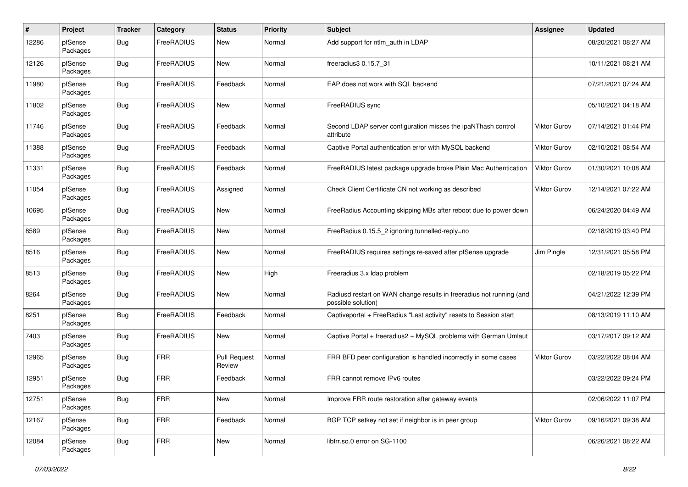| #     | Project             | <b>Tracker</b> | Category          | <b>Status</b>                 | <b>Priority</b> | Subject                                                                                    | <b>Assignee</b>     | <b>Updated</b>      |
|-------|---------------------|----------------|-------------------|-------------------------------|-----------------|--------------------------------------------------------------------------------------------|---------------------|---------------------|
| 12286 | pfSense<br>Packages | <b>Bug</b>     | FreeRADIUS        | New                           | Normal          | Add support for ntlm_auth in LDAP                                                          |                     | 08/20/2021 08:27 AM |
| 12126 | pfSense<br>Packages | Bug            | FreeRADIUS        | New                           | Normal          | freeradius3 0.15.7 31                                                                      |                     | 10/11/2021 08:21 AM |
| 11980 | pfSense<br>Packages | Bug            | FreeRADIUS        | Feedback                      | Normal          | EAP does not work with SQL backend                                                         |                     | 07/21/2021 07:24 AM |
| 11802 | pfSense<br>Packages | <b>Bug</b>     | FreeRADIUS        | New                           | Normal          | FreeRADIUS sync                                                                            |                     | 05/10/2021 04:18 AM |
| 11746 | pfSense<br>Packages | Bug            | FreeRADIUS        | Feedback                      | Normal          | Second LDAP server configuration misses the ipaNThash control<br>attribute                 | Viktor Gurov        | 07/14/2021 01:44 PM |
| 11388 | pfSense<br>Packages | Bug            | FreeRADIUS        | Feedback                      | Normal          | Captive Portal authentication error with MySQL backend                                     | Viktor Gurov        | 02/10/2021 08:54 AM |
| 11331 | pfSense<br>Packages | Bug            | FreeRADIUS        | Feedback                      | Normal          | FreeRADIUS latest package upgrade broke Plain Mac Authentication                           | <b>Viktor Gurov</b> | 01/30/2021 10:08 AM |
| 11054 | pfSense<br>Packages | Bug            | FreeRADIUS        | Assigned                      | Normal          | Check Client Certificate CN not working as described                                       | <b>Viktor Gurov</b> | 12/14/2021 07:22 AM |
| 10695 | pfSense<br>Packages | Bug            | FreeRADIUS        | New                           | Normal          | FreeRadius Accounting skipping MBs after reboot due to power down                          |                     | 06/24/2020 04:49 AM |
| 8589  | pfSense<br>Packages | Bug            | <b>FreeRADIUS</b> | <b>New</b>                    | Normal          | FreeRadius 0.15.5_2 ignoring tunnelled-reply=no                                            |                     | 02/18/2019 03:40 PM |
| 8516  | pfSense<br>Packages | Bug            | FreeRADIUS        | New                           | Normal          | FreeRADIUS requires settings re-saved after pfSense upgrade                                | Jim Pingle          | 12/31/2021 05:58 PM |
| 8513  | pfSense<br>Packages | Bug            | FreeRADIUS        | New                           | High            | Freeradius 3.x Idap problem                                                                |                     | 02/18/2019 05:22 PM |
| 8264  | pfSense<br>Packages | Bug            | FreeRADIUS        | New                           | Normal          | Radiusd restart on WAN change results in freeradius not running (and<br>possible solution) |                     | 04/21/2022 12:39 PM |
| 8251  | pfSense<br>Packages | Bug            | FreeRADIUS        | Feedback                      | Normal          | Captiveportal + FreeRadius "Last activity" resets to Session start                         |                     | 08/13/2019 11:10 AM |
| 7403  | pfSense<br>Packages | <b>Bug</b>     | FreeRADIUS        | New                           | Normal          | Captive Portal + freeradius2 + MySQL problems with German Umlaut                           |                     | 03/17/2017 09:12 AM |
| 12965 | pfSense<br>Packages | Bug            | <b>FRR</b>        | <b>Pull Request</b><br>Review | Normal          | FRR BFD peer configuration is handled incorrectly in some cases                            | Viktor Gurov        | 03/22/2022 08:04 AM |
| 12951 | pfSense<br>Packages | <b>Bug</b>     | <b>FRR</b>        | Feedback                      | Normal          | FRR cannot remove IPv6 routes                                                              |                     | 03/22/2022 09:24 PM |
| 12751 | pfSense<br>Packages | <b>Bug</b>     | <b>FRR</b>        | New                           | Normal          | Improve FRR route restoration after gateway events                                         |                     | 02/06/2022 11:07 PM |
| 12167 | pfSense<br>Packages | Bug            | <b>FRR</b>        | Feedback                      | Normal          | BGP TCP setkey not set if neighbor is in peer group                                        | Viktor Gurov        | 09/16/2021 09:38 AM |
| 12084 | pfSense<br>Packages | <b>Bug</b>     | <b>FRR</b>        | New                           | Normal          | libfrr.so.0 error on SG-1100                                                               |                     | 06/26/2021 08:22 AM |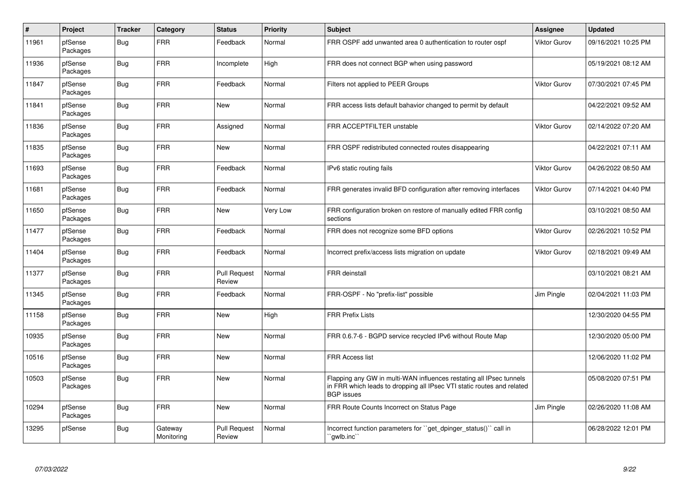| $\pmb{\#}$ | Project             | <b>Tracker</b> | Category              | <b>Status</b>                 | <b>Priority</b> | <b>Subject</b>                                                                                                                                                     | Assignee            | <b>Updated</b>      |
|------------|---------------------|----------------|-----------------------|-------------------------------|-----------------|--------------------------------------------------------------------------------------------------------------------------------------------------------------------|---------------------|---------------------|
| 11961      | pfSense<br>Packages | <b>Bug</b>     | FRR                   | Feedback                      | Normal          | FRR OSPF add unwanted area 0 authentication to router ospf                                                                                                         | Viktor Gurov        | 09/16/2021 10:25 PM |
| 11936      | pfSense<br>Packages | <b>Bug</b>     | FRR                   | Incomplete                    | High            | FRR does not connect BGP when using password                                                                                                                       |                     | 05/19/2021 08:12 AM |
| 11847      | pfSense<br>Packages | <b>Bug</b>     | <b>FRR</b>            | Feedback                      | Normal          | Filters not applied to PEER Groups                                                                                                                                 | <b>Viktor Gurov</b> | 07/30/2021 07:45 PM |
| 11841      | pfSense<br>Packages | Bug            | <b>FRR</b>            | New                           | Normal          | FRR access lists default bahavior changed to permit by default                                                                                                     |                     | 04/22/2021 09:52 AM |
| 11836      | pfSense<br>Packages | Bug            | <b>FRR</b>            | Assigned                      | Normal          | FRR ACCEPTFILTER unstable                                                                                                                                          | Viktor Gurov        | 02/14/2022 07:20 AM |
| 11835      | pfSense<br>Packages | Bug            | FRR                   | New                           | Normal          | FRR OSPF redistributed connected routes disappearing                                                                                                               |                     | 04/22/2021 07:11 AM |
| 11693      | pfSense<br>Packages | Bug            | <b>FRR</b>            | Feedback                      | Normal          | IPv6 static routing fails                                                                                                                                          | Viktor Gurov        | 04/26/2022 08:50 AM |
| 11681      | pfSense<br>Packages | Bug            | <b>FRR</b>            | Feedback                      | Normal          | FRR generates invalid BFD configuration after removing interfaces                                                                                                  | Viktor Gurov        | 07/14/2021 04:40 PM |
| 11650      | pfSense<br>Packages | <b>Bug</b>     | <b>FRR</b>            | New                           | Very Low        | FRR configuration broken on restore of manually edited FRR config<br>sections                                                                                      |                     | 03/10/2021 08:50 AM |
| 11477      | pfSense<br>Packages | Bug            | <b>FRR</b>            | Feedback                      | Normal          | FRR does not recognize some BFD options                                                                                                                            | Viktor Gurov        | 02/26/2021 10:52 PM |
| 11404      | pfSense<br>Packages | <b>Bug</b>     | <b>FRR</b>            | Feedback                      | Normal          | Incorrect prefix/access lists migration on update                                                                                                                  | Viktor Gurov        | 02/18/2021 09:49 AM |
| 11377      | pfSense<br>Packages | Bug            | <b>FRR</b>            | <b>Pull Request</b><br>Review | Normal          | <b>FRR</b> deinstall                                                                                                                                               |                     | 03/10/2021 08:21 AM |
| 11345      | pfSense<br>Packages | <b>Bug</b>     | <b>FRR</b>            | Feedback                      | Normal          | FRR-OSPF - No "prefix-list" possible                                                                                                                               | Jim Pingle          | 02/04/2021 11:03 PM |
| 11158      | pfSense<br>Packages | <b>Bug</b>     | <b>FRR</b>            | New                           | High            | <b>FRR Prefix Lists</b>                                                                                                                                            |                     | 12/30/2020 04:55 PM |
| 10935      | pfSense<br>Packages | <b>Bug</b>     | <b>FRR</b>            | <b>New</b>                    | Normal          | FRR 0.6.7-6 - BGPD service recycled IPv6 without Route Map                                                                                                         |                     | 12/30/2020 05:00 PM |
| 10516      | pfSense<br>Packages | Bug            | <b>FRR</b>            | New                           | Normal          | <b>FRR Access list</b>                                                                                                                                             |                     | 12/06/2020 11:02 PM |
| 10503      | pfSense<br>Packages | <b>Bug</b>     | <b>FRR</b>            | <b>New</b>                    | Normal          | Flapping any GW in multi-WAN influences restating all IPsec tunnels<br>in FRR which leads to dropping all IPsec VTI static routes and related<br><b>BGP</b> issues |                     | 05/08/2020 07:51 PM |
| 10294      | pfSense<br>Packages | Bug            | <b>FRR</b>            | <b>New</b>                    | Normal          | FRR Route Counts Incorrect on Status Page                                                                                                                          | Jim Pingle          | 02/26/2020 11:08 AM |
| 13295      | pfSense             | <b>Bug</b>     | Gateway<br>Monitoring | <b>Pull Request</b><br>Review | Normal          | Incorrect function parameters for "get dpinger status()" call in<br>`gwlb.inc                                                                                      |                     | 06/28/2022 12:01 PM |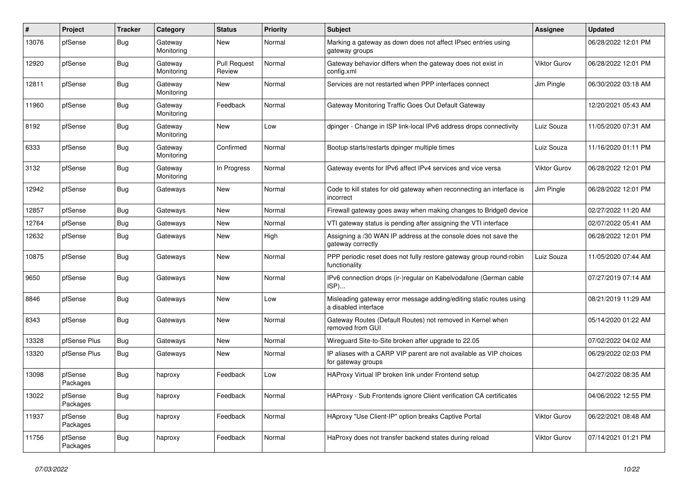| #     | Project             | <b>Tracker</b> | Category              | <b>Status</b>                 | Priority | <b>Subject</b>                                                                              | <b>Assignee</b>     | <b>Updated</b>      |
|-------|---------------------|----------------|-----------------------|-------------------------------|----------|---------------------------------------------------------------------------------------------|---------------------|---------------------|
| 13076 | pfSense             | Bug            | Gateway<br>Monitoring | New                           | Normal   | Marking a gateway as down does not affect IPsec entries using<br>gateway groups             |                     | 06/28/2022 12:01 PM |
| 12920 | pfSense             | <b>Bug</b>     | Gateway<br>Monitoring | <b>Pull Request</b><br>Review | Normal   | Gateway behavior differs when the gateway does not exist in<br>config.xml                   | Viktor Gurov        | 06/28/2022 12:01 PM |
| 12811 | pfSense             | Bug            | Gateway<br>Monitoring | <b>New</b>                    | Normal   | Services are not restarted when PPP interfaces connect                                      | Jim Pingle          | 06/30/2022 03:18 AM |
| 11960 | pfSense             | Bug            | Gateway<br>Monitoring | Feedback                      | Normal   | Gateway Monitoring Traffic Goes Out Default Gateway                                         |                     | 12/20/2021 05:43 AM |
| 8192  | pfSense             | Bug            | Gateway<br>Monitoring | New                           | Low      | dpinger - Change in ISP link-local IPv6 address drops connectivity                          | Luiz Souza          | 11/05/2020 07:31 AM |
| 6333  | pfSense             | <b>Bug</b>     | Gateway<br>Monitoring | Confirmed                     | Normal   | Bootup starts/restarts dpinger multiple times                                               | Luiz Souza          | 11/16/2020 01:11 PM |
| 3132  | pfSense             | Bug            | Gateway<br>Monitoring | In Progress                   | Normal   | Gateway events for IPv6 affect IPv4 services and vice versa                                 | <b>Viktor Gurov</b> | 06/28/2022 12:01 PM |
| 12942 | pfSense             | Bug            | Gateways              | New                           | Normal   | Code to kill states for old gateway when reconnecting an interface is<br>incorrect          | Jim Pingle          | 06/28/2022 12:01 PM |
| 12857 | pfSense             | Bug            | Gateways              | <b>New</b>                    | Normal   | Firewall gateway goes away when making changes to Bridge0 device                            |                     | 02/27/2022 11:20 AM |
| 12764 | pfSense             | <b>Bug</b>     | Gateways              | New                           | Normal   | VTI gateway status is pending after assigning the VTI interface                             |                     | 02/07/2022 05:41 AM |
| 12632 | pfSense             | <b>Bug</b>     | Gateways              | New                           | High     | Assigning a /30 WAN IP address at the console does not save the<br>gateway correctly        |                     | 06/28/2022 12:01 PM |
| 10875 | pfSense             | Bug            | Gateways              | <b>New</b>                    | Normal   | PPP periodic reset does not fully restore gateway group round-robin<br>functionality        | Luiz Souza          | 11/05/2020 07:44 AM |
| 9650  | pfSense             | <b>Bug</b>     | Gateways              | <b>New</b>                    | Normal   | IPv6 connection drops (ir-)regular on Kabelvodafone (German cable<br>ISP)                   |                     | 07/27/2019 07:14 AM |
| 8846  | pfSense             | <b>Bug</b>     | Gateways              | <b>New</b>                    | Low      | Misleading gateway error message adding/editing static routes using<br>a disabled interface |                     | 08/21/2019 11:29 AM |
| 8343  | pfSense             | <b>Bug</b>     | Gateways              | New                           | Normal   | Gateway Routes (Default Routes) not removed in Kernel when<br>removed from GUI              |                     | 05/14/2020 01:22 AM |
| 13328 | pfSense Plus        | Bug            | Gateways              | New                           | Normal   | Wireguard Site-to-Site broken after upgrade to 22.05                                        |                     | 07/02/2022 04:02 AM |
| 13320 | pfSense Plus        | <b>Bug</b>     | Gateways              | New                           | Normal   | IP aliases with a CARP VIP parent are not available as VIP choices<br>for gateway groups    |                     | 06/29/2022 02:03 PM |
| 13098 | pfSense<br>Packages | Bug            | haproxy               | Feedback                      | Low      | HAProxy Virtual IP broken link under Frontend setup                                         |                     | 04/27/2022 08:35 AM |
| 13022 | pfSense<br>Packages | Bug            | haproxy               | Feedback                      | Normal   | HAProxy - Sub Frontends ignore Client verification CA certificates                          |                     | 04/06/2022 12:55 PM |
| 11937 | pfSense<br>Packages | <b>Bug</b>     | haproxy               | Feedback                      | Normal   | HAproxy "Use Client-IP" option breaks Captive Portal                                        | Viktor Gurov        | 06/22/2021 08:48 AM |
| 11756 | pfSense<br>Packages | Bug            | haproxy               | Feedback                      | Normal   | HaProxy does not transfer backend states during reload                                      | Viktor Gurov        | 07/14/2021 01:21 PM |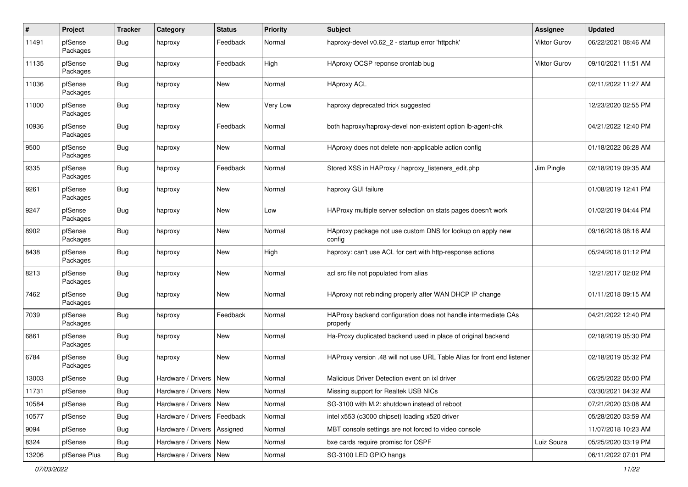| $\pmb{\#}$ | Project             | <b>Tracker</b> | Category                      | <b>Status</b> | <b>Priority</b> | <b>Subject</b>                                                             | <b>Assignee</b> | <b>Updated</b>      |
|------------|---------------------|----------------|-------------------------------|---------------|-----------------|----------------------------------------------------------------------------|-----------------|---------------------|
| 11491      | pfSense<br>Packages | Bug            | haproxy                       | Feedback      | Normal          | haproxy-devel v0.62 2 - startup error 'httpchk'                            | Viktor Gurov    | 06/22/2021 08:46 AM |
| 11135      | pfSense<br>Packages | Bug            | haproxy                       | Feedback      | High            | HAproxy OCSP reponse crontab bug                                           | Viktor Gurov    | 09/10/2021 11:51 AM |
| 11036      | pfSense<br>Packages | Bug            | haproxy                       | New           | Normal          | <b>HAproxy ACL</b>                                                         |                 | 02/11/2022 11:27 AM |
| 11000      | pfSense<br>Packages | Bug            | haproxy                       | New           | Very Low        | haproxy deprecated trick suggested                                         |                 | 12/23/2020 02:55 PM |
| 10936      | pfSense<br>Packages | Bug            | haproxy                       | Feedback      | Normal          | both haproxy/haproxy-devel non-existent option lb-agent-chk                |                 | 04/21/2022 12:40 PM |
| 9500       | pfSense<br>Packages | Bug            | haproxy                       | New           | Normal          | HAproxy does not delete non-applicable action config                       |                 | 01/18/2022 06:28 AM |
| 9335       | pfSense<br>Packages | Bug            | haproxy                       | Feedback      | Normal          | Stored XSS in HAProxy / haproxy_listeners_edit.php                         | Jim Pingle      | 02/18/2019 09:35 AM |
| 9261       | pfSense<br>Packages | Bug            | haproxy                       | New           | Normal          | haproxy GUI failure                                                        |                 | 01/08/2019 12:41 PM |
| 9247       | pfSense<br>Packages | Bug            | haproxy                       | New           | Low             | HAProxy multiple server selection on stats pages doesn't work              |                 | 01/02/2019 04:44 PM |
| 8902       | pfSense<br>Packages | Bug            | haproxy                       | New           | Normal          | HAproxy package not use custom DNS for lookup on apply new<br>config       |                 | 09/16/2018 08:16 AM |
| 8438       | pfSense<br>Packages | Bug            | haproxy                       | New           | High            | haproxy: can't use ACL for cert with http-response actions                 |                 | 05/24/2018 01:12 PM |
| 8213       | pfSense<br>Packages | Bug            | haproxy                       | New           | Normal          | acl src file not populated from alias                                      |                 | 12/21/2017 02:02 PM |
| 7462       | pfSense<br>Packages | Bug            | haproxy                       | New           | Normal          | HAproxy not rebinding properly after WAN DHCP IP change                    |                 | 01/11/2018 09:15 AM |
| 7039       | pfSense<br>Packages | Bug            | haproxy                       | Feedback      | Normal          | HAProxy backend configuration does not handle intermediate CAs<br>properly |                 | 04/21/2022 12:40 PM |
| 6861       | pfSense<br>Packages | Bug            | haproxy                       | New           | Normal          | Ha-Proxy duplicated backend used in place of original backend              |                 | 02/18/2019 05:30 PM |
| 6784       | pfSense<br>Packages | Bug            | haproxy                       | New           | Normal          | HAProxy version .48 will not use URL Table Alias for front end listener    |                 | 02/18/2019 05:32 PM |
| 13003      | pfSense             | Bug            | Hardware / Drivers            | New           | Normal          | Malicious Driver Detection event on ixl driver                             |                 | 06/25/2022 05:00 PM |
| 11731      | pfSense             | <b>Bug</b>     | Hardware / Drivers   New      |               | Normal          | Missing support for Realtek USB NICs                                       |                 | 03/30/2021 04:32 AM |
| 10584      | pfSense             | Bug            | Hardware / Drivers   New      |               | Normal          | SG-3100 with M.2: shutdown instead of reboot                               |                 | 07/21/2020 03:08 AM |
| 10577      | pfSense             | <b>Bug</b>     | Hardware / Drivers   Feedback |               | Normal          | intel x553 (c3000 chipset) loading x520 driver                             |                 | 05/28/2020 03:59 AM |
| 9094       | pfSense             | <b>Bug</b>     | Hardware / Drivers   Assigned |               | Normal          | MBT console settings are not forced to video console                       |                 | 11/07/2018 10:23 AM |
| 8324       | pfSense             | Bug            | Hardware / Drivers   New      |               | Normal          | bxe cards require promisc for OSPF                                         | Luiz Souza      | 05/25/2020 03:19 PM |
| 13206      | pfSense Plus        | Bug            | Hardware / Drivers   New      |               | Normal          | SG-3100 LED GPIO hangs                                                     |                 | 06/11/2022 07:01 PM |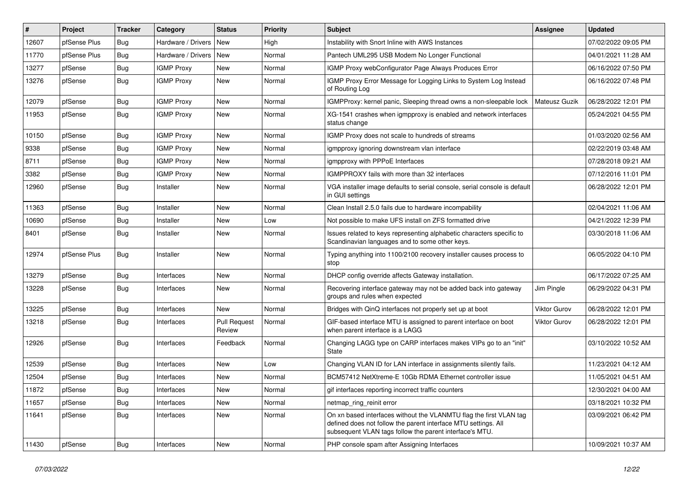| #     | Project      | <b>Tracker</b> | Category           | <b>Status</b>                 | <b>Priority</b> | <b>Subject</b>                                                                                                                                                                                  | <b>Assignee</b>     | <b>Updated</b>      |
|-------|--------------|----------------|--------------------|-------------------------------|-----------------|-------------------------------------------------------------------------------------------------------------------------------------------------------------------------------------------------|---------------------|---------------------|
| 12607 | pfSense Plus | Bug            | Hardware / Drivers | <b>New</b>                    | High            | Instability with Snort Inline with AWS Instances                                                                                                                                                |                     | 07/02/2022 09:05 PM |
| 11770 | pfSense Plus | Bug            | Hardware / Drivers | <b>New</b>                    | Normal          | Pantech UML295 USB Modem No Longer Functional                                                                                                                                                   |                     | 04/01/2021 11:28 AM |
| 13277 | pfSense      | <b>Bug</b>     | <b>IGMP Proxy</b>  | New                           | Normal          | IGMP Proxy webConfigurator Page Always Produces Error                                                                                                                                           |                     | 06/16/2022 07:50 PM |
| 13276 | pfSense      | Bug            | <b>IGMP Proxy</b>  | New                           | Normal          | IGMP Proxy Error Message for Logging Links to System Log Instead<br>of Routing Log                                                                                                              |                     | 06/16/2022 07:48 PM |
| 12079 | pfSense      | Bug            | <b>IGMP Proxy</b>  | New                           | Normal          | IGMPProxy: kernel panic, Sleeping thread owns a non-sleepable lock                                                                                                                              | Mateusz Guzik       | 06/28/2022 12:01 PM |
| 11953 | pfSense      | Bug            | <b>IGMP Proxy</b>  | <b>New</b>                    | Normal          | XG-1541 crashes when igmpproxy is enabled and network interfaces<br>status change                                                                                                               |                     | 05/24/2021 04:55 PM |
| 10150 | pfSense      | Bug            | <b>IGMP Proxy</b>  | <b>New</b>                    | Normal          | IGMP Proxy does not scale to hundreds of streams                                                                                                                                                |                     | 01/03/2020 02:56 AM |
| 9338  | pfSense      | <b>Bug</b>     | <b>IGMP Proxy</b>  | New                           | Normal          | igmpproxy ignoring downstream vlan interface                                                                                                                                                    |                     | 02/22/2019 03:48 AM |
| 8711  | pfSense      | <b>Bug</b>     | <b>IGMP Proxy</b>  | New                           | Normal          | igmpproxy with PPPoE Interfaces                                                                                                                                                                 |                     | 07/28/2018 09:21 AM |
| 3382  | pfSense      | <b>Bug</b>     | <b>IGMP Proxy</b>  | New                           | Normal          | IGMPPROXY fails with more than 32 interfaces                                                                                                                                                    |                     | 07/12/2016 11:01 PM |
| 12960 | pfSense      | <b>Bug</b>     | Installer          | <b>New</b>                    | Normal          | VGA installer image defaults to serial console, serial console is default<br>in GUI settings                                                                                                    |                     | 06/28/2022 12:01 PM |
| 11363 | pfSense      | <b>Bug</b>     | Installer          | New                           | Normal          | Clean Install 2.5.0 fails due to hardware incompability                                                                                                                                         |                     | 02/04/2021 11:06 AM |
| 10690 | pfSense      | Bug            | Installer          | New                           | Low             | Not possible to make UFS install on ZFS formatted drive                                                                                                                                         |                     | 04/21/2022 12:39 PM |
| 8401  | pfSense      | <b>Bug</b>     | Installer          | New                           | Normal          | Issues related to keys representing alphabetic characters specific to<br>Scandinavian languages and to some other keys.                                                                         |                     | 03/30/2018 11:06 AM |
| 12974 | pfSense Plus | Bug            | Installer          | New                           | Normal          | Typing anything into 1100/2100 recovery installer causes process to<br>stop                                                                                                                     |                     | 06/05/2022 04:10 PM |
| 13279 | pfSense      | Bug            | Interfaces         | <b>New</b>                    | Normal          | DHCP config override affects Gateway installation.                                                                                                                                              |                     | 06/17/2022 07:25 AM |
| 13228 | pfSense      | Bug            | Interfaces         | New                           | Normal          | Recovering interface gateway may not be added back into gateway<br>groups and rules when expected                                                                                               | Jim Pingle          | 06/29/2022 04:31 PM |
| 13225 | pfSense      | Bug            | Interfaces         | <b>New</b>                    | Normal          | Bridges with QinQ interfaces not properly set up at boot                                                                                                                                        | <b>Viktor Gurov</b> | 06/28/2022 12:01 PM |
| 13218 | pfSense      | Bug            | Interfaces         | <b>Pull Request</b><br>Review | Normal          | GIF-based interface MTU is assigned to parent interface on boot<br>when parent interface is a LAGG                                                                                              | Viktor Gurov        | 06/28/2022 12:01 PM |
| 12926 | pfSense      | Bug            | Interfaces         | Feedback                      | Normal          | Changing LAGG type on CARP interfaces makes VIPs go to an "init"<br>State                                                                                                                       |                     | 03/10/2022 10:52 AM |
| 12539 | pfSense      | <b>Bug</b>     | Interfaces         | <b>New</b>                    | Low             | Changing VLAN ID for LAN interface in assignments silently fails.                                                                                                                               |                     | 11/23/2021 04:12 AM |
| 12504 | pfSense      | <b>Bug</b>     | Interfaces         | New                           | Normal          | BCM57412 NetXtreme-E 10Gb RDMA Ethernet controller issue                                                                                                                                        |                     | 11/05/2021 04:51 AM |
| 11872 | pfSense      | <b>Bug</b>     | Interfaces         | New                           | Normal          | gif interfaces reporting incorrect traffic counters                                                                                                                                             |                     | 12/30/2021 04:00 AM |
| 11657 | pfSense      | Bug            | Interfaces         | New                           | Normal          | netmap ring reinit error                                                                                                                                                                        |                     | 03/18/2021 10:32 PM |
| 11641 | pfSense      | Bug            | Interfaces         | New                           | Normal          | On xn based interfaces without the VLANMTU flag the first VLAN tag<br>defined does not follow the parent interface MTU settings. All<br>subsequent VLAN tags follow the parent interface's MTU. |                     | 03/09/2021 06:42 PM |
| 11430 | pfSense      | Bug            | Interfaces         | New                           | Normal          | PHP console spam after Assigning Interfaces                                                                                                                                                     |                     | 10/09/2021 10:37 AM |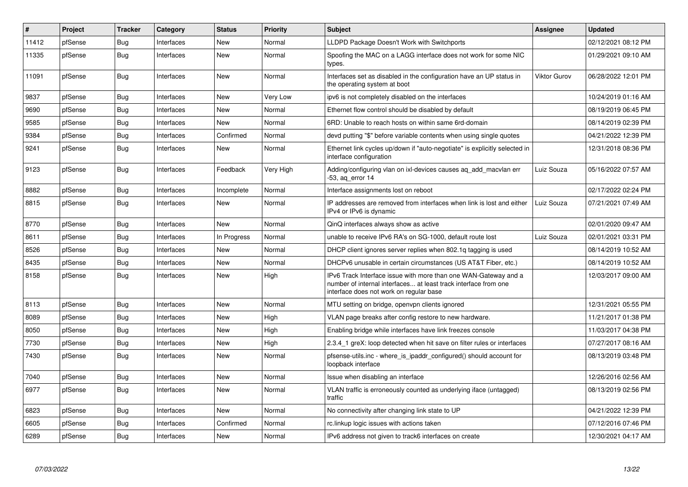| $\vert$ # | Project | <b>Tracker</b> | Category   | <b>Status</b> | <b>Priority</b> | <b>Subject</b>                                                                                                                                                                | <b>Assignee</b>     | <b>Updated</b>      |
|-----------|---------|----------------|------------|---------------|-----------------|-------------------------------------------------------------------------------------------------------------------------------------------------------------------------------|---------------------|---------------------|
| 11412     | pfSense | Bug            | Interfaces | New           | Normal          | LLDPD Package Doesn't Work with Switchports                                                                                                                                   |                     | 02/12/2021 08:12 PM |
| 11335     | pfSense | <b>Bug</b>     | Interfaces | <b>New</b>    | Normal          | Spoofing the MAC on a LAGG interface does not work for some NIC<br>types.                                                                                                     |                     | 01/29/2021 09:10 AM |
| 11091     | pfSense | Bug            | Interfaces | <b>New</b>    | Normal          | Interfaces set as disabled in the configuration have an UP status in<br>the operating system at boot                                                                          | <b>Viktor Gurov</b> | 06/28/2022 12:01 PM |
| 9837      | pfSense | <b>Bug</b>     | Interfaces | <b>New</b>    | Very Low        | ipv6 is not completely disabled on the interfaces                                                                                                                             |                     | 10/24/2019 01:16 AM |
| 9690      | pfSense | Bug            | Interfaces | <b>New</b>    | Normal          | Ethernet flow control should be disabled by default                                                                                                                           |                     | 08/19/2019 06:45 PM |
| 9585      | pfSense | <b>Bug</b>     | Interfaces | <b>New</b>    | Normal          | 6RD: Unable to reach hosts on within same 6rd-domain                                                                                                                          |                     | 08/14/2019 02:39 PM |
| 9384      | pfSense | <b>Bug</b>     | Interfaces | Confirmed     | Normal          | devd putting "\$" before variable contents when using single quotes                                                                                                           |                     | 04/21/2022 12:39 PM |
| 9241      | pfSense | Bug            | Interfaces | New           | Normal          | Ethernet link cycles up/down if "auto-negotiate" is explicitly selected in<br>interface configuration                                                                         |                     | 12/31/2018 08:36 PM |
| 9123      | pfSense | <b>Bug</b>     | Interfaces | Feedback      | Very High       | Adding/configuring vlan on ixl-devices causes ag add macvlan err<br>-53, ag error 14                                                                                          | Luiz Souza          | 05/16/2022 07:57 AM |
| 8882      | pfSense | <b>Bug</b>     | Interfaces | Incomplete    | Normal          | Interface assignments lost on reboot                                                                                                                                          |                     | 02/17/2022 02:24 PM |
| 8815      | pfSense | Bug            | Interfaces | New           | Normal          | IP addresses are removed from interfaces when link is lost and either<br>IPv4 or IPv6 is dynamic                                                                              | Luiz Souza          | 07/21/2021 07:49 AM |
| 8770      | pfSense | <b>Bug</b>     | Interfaces | <b>New</b>    | Normal          | QinQ interfaces always show as active                                                                                                                                         |                     | 02/01/2020 09:47 AM |
| 8611      | pfSense | Bug            | Interfaces | In Progress   | Normal          | unable to receive IPv6 RA's on SG-1000, default route lost                                                                                                                    | Luiz Souza          | 02/01/2021 03:31 PM |
| 8526      | pfSense | <b>Bug</b>     | Interfaces | <b>New</b>    | Normal          | DHCP client ignores server replies when 802.1q tagging is used                                                                                                                |                     | 08/14/2019 10:52 AM |
| 8435      | pfSense | Bug            | Interfaces | New           | Normal          | DHCPv6 unusable in certain circumstances (US AT&T Fiber, etc.)                                                                                                                |                     | 08/14/2019 10:52 AM |
| 8158      | pfSense | Bug            | Interfaces | <b>New</b>    | High            | IPv6 Track Interface issue with more than one WAN-Gateway and a<br>number of internal interfaces at least track interface from one<br>interface does not work on regular base |                     | 12/03/2017 09:00 AM |
| 8113      | pfSense | <b>Bug</b>     | Interfaces | <b>New</b>    | Normal          | MTU setting on bridge, openvpn clients ignored                                                                                                                                |                     | 12/31/2021 05:55 PM |
| 8089      | pfSense | <b>Bug</b>     | Interfaces | New           | High            | VLAN page breaks after config restore to new hardware.                                                                                                                        |                     | 11/21/2017 01:38 PM |
| 8050      | pfSense | <b>Bug</b>     | Interfaces | <b>New</b>    | High            | Enabling bridge while interfaces have link freezes console                                                                                                                    |                     | 11/03/2017 04:38 PM |
| 7730      | pfSense | Bug            | Interfaces | New           | High            | 2.3.4 1 greX: loop detected when hit save on filter rules or interfaces                                                                                                       |                     | 07/27/2017 08:16 AM |
| 7430      | pfSense | Bug            | Interfaces | <b>New</b>    | Normal          | pfsense-utils.inc - where is ipaddr configured() should account for<br>loopback interface                                                                                     |                     | 08/13/2019 03:48 PM |
| 7040      | pfSense | Bug            | Interfaces | New           | Normal          | Issue when disabling an interface                                                                                                                                             |                     | 12/26/2016 02:56 AM |
| 6977      | pfSense | Bug            | Interfaces | <b>New</b>    | Normal          | VLAN traffic is erroneously counted as underlying iface (untagged)<br>traffic                                                                                                 |                     | 08/13/2019 02:56 PM |
| 6823      | pfSense | <b>Bug</b>     | Interfaces | <b>New</b>    | Normal          | No connectivity after changing link state to UP                                                                                                                               |                     | 04/21/2022 12:39 PM |
| 6605      | pfSense | <b>Bug</b>     | Interfaces | Confirmed     | Normal          | rc.linkup logic issues with actions taken                                                                                                                                     |                     | 07/12/2016 07:46 PM |
| 6289      | pfSense | <b>Bug</b>     | Interfaces | <b>New</b>    | Normal          | IPv6 address not given to track6 interfaces on create                                                                                                                         |                     | 12/30/2021 04:17 AM |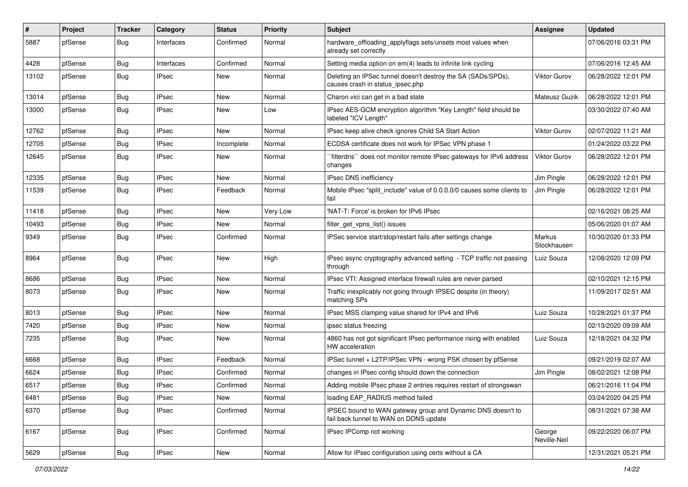| $\#$  | Project | <b>Tracker</b> | Category     | <b>Status</b> | <b>Priority</b> | Subject                                                                                               | <b>Assignee</b>              | <b>Updated</b>      |
|-------|---------|----------------|--------------|---------------|-----------------|-------------------------------------------------------------------------------------------------------|------------------------------|---------------------|
| 5887  | pfSense | Bug            | Interfaces   | Confirmed     | Normal          | hardware_offloading_applyflags sets/unsets most values when<br>already set correctly                  |                              | 07/06/2016 03:31 PM |
| 4428  | pfSense | <b>Bug</b>     | Interfaces   | Confirmed     | Normal          | Setting media option on em(4) leads to infinite link cycling                                          |                              | 07/06/2016 12:45 AM |
| 13102 | pfSense | <b>Bug</b>     | <b>IPsec</b> | New           | Normal          | Deleting an IPSec tunnel doesn't destroy the SA (SADs/SPDs),<br>causes crash in status ipsec.php      | <b>Viktor Gurov</b>          | 06/28/2022 12:01 PM |
| 13014 | pfSense | <b>Bug</b>     | <b>IPsec</b> | New           | Normal          | Charon.vici can get in a bad state                                                                    | Mateusz Guzik                | 06/28/2022 12:01 PM |
| 13000 | pfSense | Bug            | <b>IPsec</b> | New           | Low             | IPsec AES-GCM encryption algorithm "Key Length" field should be<br>labeled "ICV Length"               |                              | 03/30/2022 07:40 AM |
| 12762 | pfSense | <b>Bug</b>     | <b>IPsec</b> | New           | Normal          | IPsec keep alive check ignores Child SA Start Action                                                  | <b>Viktor Gurov</b>          | 02/07/2022 11:21 AM |
| 12705 | pfSense | <b>Bug</b>     | <b>IPsec</b> | Incomplete    | Normal          | ECDSA certificate does not work for IPSec VPN phase 1                                                 |                              | 01/24/2022 03:22 PM |
| 12645 | pfSense | Bug            | <b>IPsec</b> | New           | Normal          | `filterdns`` does not monitor remote IPsec gateways for IPv6 address<br>changes                       | <b>Viktor Gurov</b>          | 06/28/2022 12:01 PM |
| 12335 | pfSense | <b>Bug</b>     | <b>IPsec</b> | <b>New</b>    | Normal          | IPsec DNS inefficiency                                                                                | Jim Pingle                   | 06/28/2022 12:01 PM |
| 11539 | pfSense | Bug            | <b>IPsec</b> | Feedback      | Normal          | Mobile IPsec "split include" value of 0.0.0.0/0 causes some clients to<br>fail                        | Jim Pingle                   | 06/28/2022 12:01 PM |
| 11418 | pfSense | <b>Bug</b>     | <b>IPsec</b> | New           | Very Low        | 'NAT-T: Force' is broken for IPv6 IPsec                                                               |                              | 02/16/2021 08:25 AM |
| 10493 | pfSense | <b>Bug</b>     | <b>IPsec</b> | New           | Normal          | filter get vpns list() issues                                                                         |                              | 05/06/2020 01:07 AM |
| 9349  | pfSense | Bug            | <b>IPsec</b> | Confirmed     | Normal          | IPSec service start/stop/restart fails after settings change                                          | <b>Markus</b><br>Stockhausen | 10/30/2020 01:33 PM |
| 8964  | pfSense | Bug            | <b>IPsec</b> | New           | High            | IPsec async cryptography advanced setting - TCP traffic not passing<br>through                        | Luiz Souza                   | 12/08/2020 12:09 PM |
| 8686  | pfSense | Bug            | <b>IPsec</b> | New           | Normal          | IPsec VTI: Assigned interface firewall rules are never parsed                                         |                              | 02/10/2021 12:15 PM |
| 8073  | pfSense | <b>Bug</b>     | <b>IPsec</b> | New           | Normal          | Traffic inexplicably not going through IPSEC despite (in theory)<br>matching SPs                      |                              | 11/09/2017 02:51 AM |
| 8013  | pfSense | <b>Bug</b>     | <b>IPsec</b> | New           | Normal          | IPsec MSS clamping value shared for IPv4 and IPv6                                                     | Luiz Souza                   | 10/28/2021 01:37 PM |
| 7420  | pfSense | <b>Bug</b>     | <b>IPsec</b> | New           | Normal          | ipsec status freezing                                                                                 |                              | 02/13/2020 09:09 AM |
| 7235  | pfSense | <b>Bug</b>     | <b>IPsec</b> | New           | Normal          | 4860 has not got significant IPsec performance rising with enabled<br>HW acceleration                 | Luiz Souza                   | 12/18/2021 04:32 PM |
| 6668  | pfSense | <b>Bug</b>     | <b>IPsec</b> | Feedback      | Normal          | IPSec tunnel + L2TP/IPSec VPN - wrong PSK chosen by pfSense                                           |                              | 09/21/2019 02:07 AM |
| 6624  | pfSense | <b>Bug</b>     | <b>IPsec</b> | Confirmed     | Normal          | changes in IPsec config should down the connection                                                    | Jim Pingle                   | 08/02/2021 12:08 PM |
| 6517  | pfSense | <b>Bug</b>     | <b>IPsec</b> | Confirmed     | Normal          | Adding mobile IPsec phase 2 entries requires restart of strongswan                                    |                              | 06/21/2016 11:04 PM |
| 6481  | pfSense | <b>Bug</b>     | <b>IPsec</b> | New           | Normal          | loading EAP_RADIUS method failed                                                                      |                              | 03/24/2020 04:25 PM |
| 6370  | pfSense | Bug            | <b>IPsec</b> | Confirmed     | Normal          | IPSEC bound to WAN gateway group and Dynamic DNS doesn't to<br>fail back tunnel to WAN on DDNS update |                              | 08/31/2021 07:38 AM |
| 6167  | pfSense | <b>Bug</b>     | <b>IPsec</b> | Confirmed     | Normal          | IPsec IPComp not working                                                                              | George<br>Neville-Neil       | 09/22/2020 06:07 PM |
| 5629  | pfSense | Bug            | <b>IPsec</b> | New           | Normal          | Allow for IPsec configuration using certs without a CA                                                |                              | 12/31/2021 05:21 PM |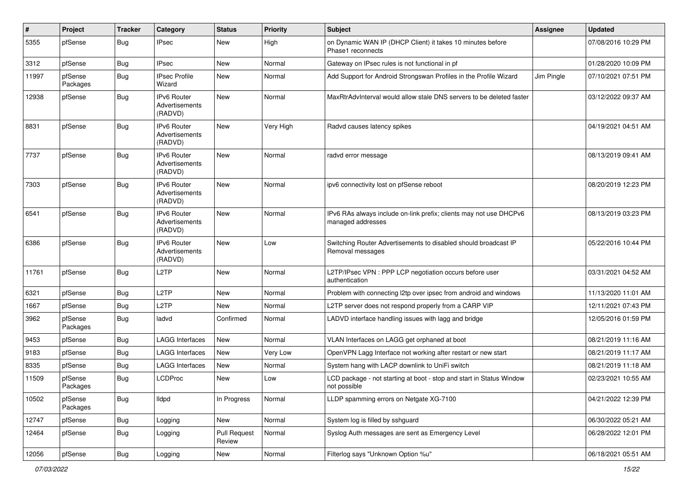| $\sharp$ | Project             | <b>Tracker</b> | Category                                        | <b>Status</b>                 | <b>Priority</b> | <b>Subject</b>                                                                          | <b>Assignee</b> | <b>Updated</b>      |
|----------|---------------------|----------------|-------------------------------------------------|-------------------------------|-----------------|-----------------------------------------------------------------------------------------|-----------------|---------------------|
| 5355     | pfSense             | Bug            | <b>IPsec</b>                                    | New                           | High            | on Dynamic WAN IP (DHCP Client) it takes 10 minutes before<br>Phase1 reconnects         |                 | 07/08/2016 10:29 PM |
| 3312     | pfSense             | Bug            | <b>IPsec</b>                                    | New                           | Normal          | Gateway on IPsec rules is not functional in pf                                          |                 | 01/28/2020 10:09 PM |
| 11997    | pfSense<br>Packages | <b>Bug</b>     | <b>IPsec Profile</b><br>Wizard                  | New                           | Normal          | Add Support for Android Strongswan Profiles in the Profile Wizard                       | Jim Pingle      | 07/10/2021 07:51 PM |
| 12938    | pfSense             | <b>Bug</b>     | <b>IPv6 Router</b><br>Advertisements<br>(RADVD) | <b>New</b>                    | Normal          | MaxRtrAdvInterval would allow stale DNS servers to be deleted faster                    |                 | 03/12/2022 09:37 AM |
| 8831     | pfSense             | <b>Bug</b>     | <b>IPv6 Router</b><br>Advertisements<br>(RADVD) | <b>New</b>                    | Very High       | Radvd causes latency spikes                                                             |                 | 04/19/2021 04:51 AM |
| 7737     | pfSense             | <b>Bug</b>     | IPv6 Router<br>Advertisements<br>(RADVD)        | <b>New</b>                    | Normal          | radvd error message                                                                     |                 | 08/13/2019 09:41 AM |
| 7303     | pfSense             | <b>Bug</b>     | <b>IPv6 Router</b><br>Advertisements<br>(RADVD) | <b>New</b>                    | Normal          | ipv6 connectivity lost on pfSense reboot                                                |                 | 08/20/2019 12:23 PM |
| 6541     | pfSense             | <b>Bug</b>     | <b>IPv6 Router</b><br>Advertisements<br>(RADVD) | <b>New</b>                    | Normal          | IPv6 RAs always include on-link prefix; clients may not use DHCPv6<br>managed addresses |                 | 08/13/2019 03:23 PM |
| 6386     | pfSense             | <b>Bug</b>     | IPv6 Router<br>Advertisements<br>(RADVD)        | <b>New</b>                    | Low             | Switching Router Advertisements to disabled should broadcast IP<br>Removal messages     |                 | 05/22/2016 10:44 PM |
| 11761    | pfSense             | Bug            | L <sub>2</sub> TP                               | <b>New</b>                    | Normal          | L2TP/IPsec VPN : PPP LCP negotiation occurs before user<br>authentication               |                 | 03/31/2021 04:52 AM |
| 6321     | pfSense             | Bug            | L <sub>2</sub> TP                               | <b>New</b>                    | Normal          | Problem with connecting I2tp over ipsec from android and windows                        |                 | 11/13/2020 11:01 AM |
| 1667     | pfSense             | <b>Bug</b>     | L <sub>2</sub> TP                               | <b>New</b>                    | Normal          | L2TP server does not respond properly from a CARP VIP                                   |                 | 12/11/2021 07:43 PM |
| 3962     | pfSense<br>Packages | <b>Bug</b>     | ladvd                                           | Confirmed                     | Normal          | LADVD interface handling issues with lagg and bridge                                    |                 | 12/05/2016 01:59 PM |
| 9453     | pfSense             | <b>Bug</b>     | <b>LAGG Interfaces</b>                          | New                           | Normal          | VLAN Interfaces on LAGG get orphaned at boot                                            |                 | 08/21/2019 11:16 AM |
| 9183     | pfSense             | Bug            | <b>LAGG Interfaces</b>                          | New                           | Very Low        | OpenVPN Lagg Interface not working after restart or new start                           |                 | 08/21/2019 11:17 AM |
| 8335     | pfSense             | Bug            | <b>LAGG Interfaces</b>                          | New                           | Normal          | System hang with LACP downlink to UniFi switch                                          |                 | 08/21/2019 11:18 AM |
| 11509    | pfSense<br>Packages | <b>Bug</b>     | <b>LCDProc</b>                                  | <b>New</b>                    | Low             | LCD package - not starting at boot - stop and start in Status Window<br>not possible    |                 | 02/23/2021 10:55 AM |
| 10502    | pfSense<br>Packages | <b>Bug</b>     | lldpd                                           | In Progress                   | Normal          | LLDP spamming errors on Netgate XG-7100                                                 |                 | 04/21/2022 12:39 PM |
| 12747    | pfSense             | Bug            | Logging                                         | New                           | Normal          | System log is filled by sshguard                                                        |                 | 06/30/2022 05:21 AM |
| 12464    | pfSense             | Bug            | Logging                                         | <b>Pull Request</b><br>Review | Normal          | Syslog Auth messages are sent as Emergency Level                                        |                 | 06/28/2022 12:01 PM |
| 12056    | pfSense             | Bug            | Logging                                         | New                           | Normal          | Filterlog says "Unknown Option %u"                                                      |                 | 06/18/2021 05:51 AM |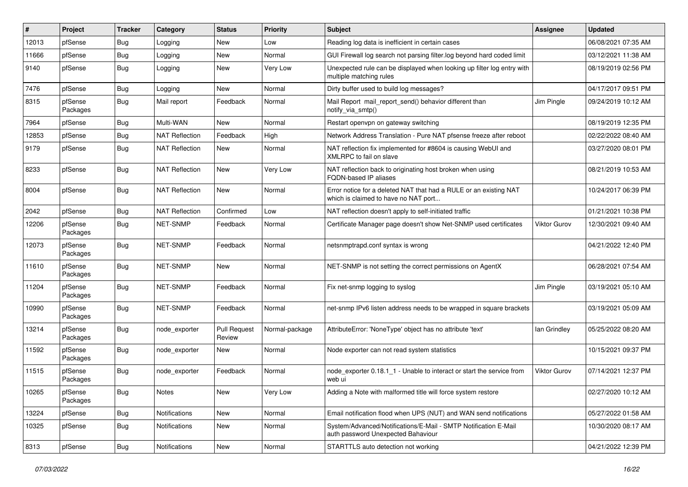| #     | Project             | <b>Tracker</b> | Category              | <b>Status</b>                 | Priority       | <b>Subject</b>                                                                                            | <b>Assignee</b>     | <b>Updated</b>      |
|-------|---------------------|----------------|-----------------------|-------------------------------|----------------|-----------------------------------------------------------------------------------------------------------|---------------------|---------------------|
| 12013 | pfSense             | Bug            | Logging               | New                           | Low            | Reading log data is inefficient in certain cases                                                          |                     | 06/08/2021 07:35 AM |
| 11666 | pfSense             | Bug            | Logging               | <b>New</b>                    | Normal         | GUI Firewall log search not parsing filter.log beyond hard coded limit                                    |                     | 03/12/2021 11:38 AM |
| 9140  | pfSense             | <b>Bug</b>     | Logging               | New                           | Very Low       | Unexpected rule can be displayed when looking up filter log entry with<br>multiple matching rules         |                     | 08/19/2019 02:56 PM |
| 7476  | pfSense             | Bug            | Logging               | <b>New</b>                    | Normal         | Dirty buffer used to build log messages?                                                                  |                     | 04/17/2017 09:51 PM |
| 8315  | pfSense<br>Packages | <b>Bug</b>     | Mail report           | Feedback                      | Normal         | Mail Report mail report send() behavior different than<br>notify_via_smtp()                               | Jim Pingle          | 09/24/2019 10:12 AM |
| 7964  | pfSense             | Bug            | Multi-WAN             | <b>New</b>                    | Normal         | Restart openvpn on gateway switching                                                                      |                     | 08/19/2019 12:35 PM |
| 12853 | pfSense             | Bug            | <b>NAT Reflection</b> | Feedback                      | High           | Network Address Translation - Pure NAT pfsense freeze after reboot                                        |                     | 02/22/2022 08:40 AM |
| 9179  | pfSense             | Bug            | <b>NAT Reflection</b> | New                           | Normal         | NAT reflection fix implemented for #8604 is causing WebUI and<br>XMLRPC to fail on slave                  |                     | 03/27/2020 08:01 PM |
| 8233  | pfSense             | Bug            | <b>NAT Reflection</b> | New                           | Very Low       | NAT reflection back to originating host broken when using<br><b>FQDN-based IP aliases</b>                 |                     | 08/21/2019 10:53 AM |
| 8004  | pfSense             | <b>Bug</b>     | <b>NAT Reflection</b> | <b>New</b>                    | Normal         | Error notice for a deleted NAT that had a RULE or an existing NAT<br>which is claimed to have no NAT port |                     | 10/24/2017 06:39 PM |
| 2042  | pfSense             | Bug            | <b>NAT Reflection</b> | Confirmed                     | Low            | NAT reflection doesn't apply to self-initiated traffic                                                    |                     | 01/21/2021 10:38 PM |
| 12206 | pfSense<br>Packages | Bug            | <b>NET-SNMP</b>       | Feedback                      | Normal         | Certificate Manager page doesn't show Net-SNMP used certificates                                          | <b>Viktor Gurov</b> | 12/30/2021 09:40 AM |
| 12073 | pfSense<br>Packages | <b>Bug</b>     | <b>NET-SNMP</b>       | Feedback                      | Normal         | netsnmptrapd.conf syntax is wrong                                                                         |                     | 04/21/2022 12:40 PM |
| 11610 | pfSense<br>Packages | <b>Bug</b>     | NET-SNMP              | New                           | Normal         | NET-SNMP is not setting the correct permissions on AgentX                                                 |                     | 06/28/2021 07:54 AM |
| 11204 | pfSense<br>Packages | <b>Bug</b>     | NET-SNMP              | Feedback                      | Normal         | Fix net-snmp logging to syslog                                                                            | Jim Pingle          | 03/19/2021 05:10 AM |
| 10990 | pfSense<br>Packages | <b>Bug</b>     | NET-SNMP              | Feedback                      | Normal         | net-snmp IPv6 listen address needs to be wrapped in square brackets                                       |                     | 03/19/2021 05:09 AM |
| 13214 | pfSense<br>Packages | <b>Bug</b>     | node exporter         | <b>Pull Request</b><br>Review | Normal-package | AttributeError: 'NoneType' object has no attribute 'text'                                                 | lan Grindley        | 05/25/2022 08:20 AM |
| 11592 | pfSense<br>Packages | <b>Bug</b>     | node exporter         | New                           | Normal         | Node exporter can not read system statistics                                                              |                     | 10/15/2021 09:37 PM |
| 11515 | pfSense<br>Packages | <b>Bug</b>     | node_exporter         | Feedback                      | Normal         | node exporter 0.18.1 1 - Unable to interact or start the service from<br>web ui                           | Viktor Gurov        | 07/14/2021 12:37 PM |
| 10265 | pfSense<br>Packages | <b>Bug</b>     | Notes                 | New                           | Very Low       | Adding a Note with malformed title will force system restore                                              |                     | 02/27/2020 10:12 AM |
| 13224 | pfSense             | <b>Bug</b>     | Notifications         | New                           | Normal         | Email notification flood when UPS (NUT) and WAN send notifications                                        |                     | 05/27/2022 01:58 AM |
| 10325 | pfSense             | Bug            | Notifications         | New                           | Normal         | System/Advanced/Notifications/E-Mail - SMTP Notification E-Mail<br>auth password Unexpected Bahaviour     |                     | 10/30/2020 08:17 AM |
| 8313  | pfSense             | Bug            | Notifications         | New                           | Normal         | STARTTLS auto detection not working                                                                       |                     | 04/21/2022 12:39 PM |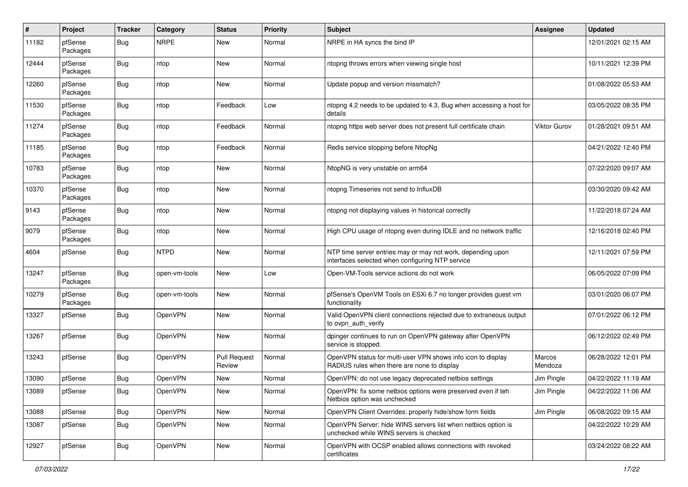| #     | Project             | <b>Tracker</b> | Category      | <b>Status</b>                 | <b>Priority</b> | Subject                                                                                                         | <b>Assignee</b>     | <b>Updated</b>      |
|-------|---------------------|----------------|---------------|-------------------------------|-----------------|-----------------------------------------------------------------------------------------------------------------|---------------------|---------------------|
| 11182 | pfSense<br>Packages | <b>Bug</b>     | <b>NRPE</b>   | New                           | Normal          | NRPE in HA syncs the bind IP                                                                                    |                     | 12/01/2021 02:15 AM |
| 12444 | pfSense<br>Packages | <b>Bug</b>     | ntop          | New                           | Normal          | ntopng throws errors when viewing single host                                                                   |                     | 10/11/2021 12:39 PM |
| 12260 | pfSense<br>Packages | <b>Bug</b>     | ntop          | New                           | Normal          | Update popup and version missmatch?                                                                             |                     | 01/08/2022 05:53 AM |
| 11530 | pfSense<br>Packages | <b>Bug</b>     | ntop          | Feedback                      | Low             | ntopng 4.2 needs to be updated to 4.3, Bug when accessing a host for<br>details                                 |                     | 03/05/2022 08:35 PM |
| 11274 | pfSense<br>Packages | <b>Bug</b>     | ntop          | Feedback                      | Normal          | ntopng https web server does not present full certificate chain                                                 | <b>Viktor Gurov</b> | 01/28/2021 09:51 AM |
| 11185 | pfSense<br>Packages | Bug            | ntop          | Feedback                      | Normal          | Redis service stopping before NtopNg                                                                            |                     | 04/21/2022 12:40 PM |
| 10783 | pfSense<br>Packages | <b>Bug</b>     | ntop          | New                           | Normal          | NtopNG is very unstable on arm64                                                                                |                     | 07/22/2020 09:07 AM |
| 10370 | pfSense<br>Packages | <b>Bug</b>     | ntop          | New                           | Normal          | ntopng Timeseries not send to InfluxDB                                                                          |                     | 03/30/2020 09:42 AM |
| 9143  | pfSense<br>Packages | Bug            | ntop          | New                           | Normal          | ntopng not displaying values in historical correctly                                                            |                     | 11/22/2018 07:24 AM |
| 9079  | pfSense<br>Packages | Bug            | ntop          | New                           | Normal          | High CPU usage of ntopng even during IDLE and no network traffic                                                |                     | 12/16/2018 02:40 PM |
| 4604  | pfSense             | <b>Bug</b>     | <b>NTPD</b>   | <b>New</b>                    | Normal          | NTP time server entries may or may not work, depending upon<br>interfaces selected when configuring NTP service |                     | 12/11/2021 07:59 PM |
| 13247 | pfSense<br>Packages | <b>Bug</b>     | open-vm-tools | New                           | Low             | Open-VM-Tools service actions do not work                                                                       |                     | 06/05/2022 07:09 PM |
| 10279 | pfSense<br>Packages | Bug            | open-vm-tools | New                           | Normal          | pfSense's OpenVM Tools on ESXi 6.7 no longer provides guest vm<br>functionality                                 |                     | 03/01/2020 06:07 PM |
| 13327 | pfSense             | Bug            | OpenVPN       | New                           | Normal          | Valid OpenVPN client connections rejected due to extraneous output<br>to ovpn auth verify                       |                     | 07/01/2022 06:12 PM |
| 13267 | pfSense             | <b>Bug</b>     | OpenVPN       | New                           | Normal          | dpinger continues to run on OpenVPN gateway after OpenVPN<br>service is stopped.                                |                     | 06/12/2022 02:49 PM |
| 13243 | pfSense             | Bug            | OpenVPN       | <b>Pull Request</b><br>Review | Normal          | OpenVPN status for multi-user VPN shows info icon to display<br>RADIUS rules when there are none to display     | Marcos<br>Mendoza   | 06/28/2022 12:01 PM |
| 13090 | pfSense             | Bug            | OpenVPN       | New                           | Normal          | OpenVPN: do not use legacy deprecated netbios settings                                                          | Jim Pingle          | 04/22/2022 11:19 AM |
| 13089 | pfSense             | Bug            | OpenVPN       | New                           | Normal          | OpenVPN: fix some netbios options were preserved even if teh<br>Netbios option was unchecked                    | Jim Pingle          | 04/22/2022 11:06 AM |
| 13088 | pfSense             | Bug            | OpenVPN       | New                           | Normal          | OpenVPN Client Overrides: properly hide/show form fields                                                        | Jim Pingle          | 06/08/2022 09:15 AM |
| 13087 | pfSense             | Bug            | OpenVPN       | New                           | Normal          | OpenVPN Server: hide WINS servers list when netbios option is<br>unchecked while WINS servers is checked        |                     | 04/22/2022 10:29 AM |
| 12927 | pfSense             | <b>Bug</b>     | OpenVPN       | New                           | Normal          | OpenVPN with OCSP enabled allows connections with revoked<br>certificates                                       |                     | 03/24/2022 08:22 AM |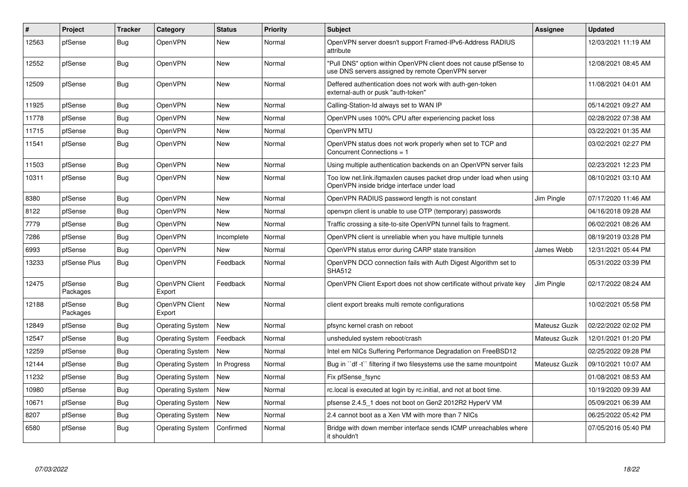| #     | Project             | <b>Tracker</b> | Category                 | <b>Status</b> | Priority | <b>Subject</b>                                                                                                         | <b>Assignee</b> | <b>Updated</b>      |
|-------|---------------------|----------------|--------------------------|---------------|----------|------------------------------------------------------------------------------------------------------------------------|-----------------|---------------------|
| 12563 | pfSense             | Bug            | <b>OpenVPN</b>           | New           | Normal   | OpenVPN server doesn't support Framed-IPv6-Address RADIUS<br>attribute                                                 |                 | 12/03/2021 11:19 AM |
| 12552 | pfSense             | Bug            | <b>OpenVPN</b>           | New           | Normal   | "Pull DNS" option within OpenVPN client does not cause pfSense to<br>use DNS servers assigned by remote OpenVPN server |                 | 12/08/2021 08:45 AM |
| 12509 | pfSense             | Bug            | OpenVPN                  | New           | Normal   | Deffered authentication does not work with auth-gen-token<br>external-auth or pusk "auth-token"                        |                 | 11/08/2021 04:01 AM |
| 11925 | pfSense             | Bug            | OpenVPN                  | New           | Normal   | Calling-Station-Id always set to WAN IP                                                                                |                 | 05/14/2021 09:27 AM |
| 11778 | pfSense             | Bug            | OpenVPN                  | New           | Normal   | OpenVPN uses 100% CPU after experiencing packet loss                                                                   |                 | 02/28/2022 07:38 AM |
| 11715 | pfSense             | <b>Bug</b>     | <b>OpenVPN</b>           | <b>New</b>    | Normal   | OpenVPN MTU                                                                                                            |                 | 03/22/2021 01:35 AM |
| 11541 | pfSense             | Bug            | OpenVPN                  | <b>New</b>    | Normal   | OpenVPN status does not work properly when set to TCP and<br>Concurrent Connections = 1                                |                 | 03/02/2021 02:27 PM |
| 11503 | pfSense             | <b>Bug</b>     | <b>OpenVPN</b>           | New           | Normal   | Using multiple authentication backends on an OpenVPN server fails                                                      |                 | 02/23/2021 12:23 PM |
| 10311 | pfSense             | Bug            | <b>OpenVPN</b>           | <b>New</b>    | Normal   | Too low net.link.ifgmaxlen causes packet drop under load when using<br>OpenVPN inside bridge interface under load      |                 | 08/10/2021 03:10 AM |
| 8380  | pfSense             | Bug            | <b>OpenVPN</b>           | New           | Normal   | OpenVPN RADIUS password length is not constant                                                                         | Jim Pingle      | 07/17/2020 11:46 AM |
| 8122  | pfSense             | Bug            | <b>OpenVPN</b>           | <b>New</b>    | Normal   | openvpn client is unable to use OTP (temporary) passwords                                                              |                 | 04/16/2018 09:28 AM |
| 7779  | pfSense             | Bug            | OpenVPN                  | New           | Normal   | Traffic crossing a site-to-site OpenVPN tunnel fails to fragment.                                                      |                 | 06/02/2021 08:26 AM |
| 7286  | pfSense             | <b>Bug</b>     | OpenVPN                  | Incomplete    | Normal   | OpenVPN client is unreliable when you have multiple tunnels                                                            |                 | 08/19/2019 03:28 PM |
| 6993  | pfSense             | <b>Bug</b>     | OpenVPN                  | New           | Normal   | OpenVPN status error during CARP state transition                                                                      | James Webb      | 12/31/2021 05:44 PM |
| 13233 | pfSense Plus        | <b>Bug</b>     | OpenVPN                  | Feedback      | Normal   | OpenVPN DCO connection fails with Auth Digest Algorithm set to<br><b>SHA512</b>                                        |                 | 05/31/2022 03:39 PM |
| 12475 | pfSense<br>Packages | Bug            | OpenVPN Client<br>Export | Feedback      | Normal   | OpenVPN Client Export does not show certificate without private key                                                    | Jim Pingle      | 02/17/2022 08:24 AM |
| 12188 | pfSense<br>Packages | <b>Bug</b>     | OpenVPN Client<br>Export | <b>New</b>    | Normal   | client export breaks multi remote configurations                                                                       |                 | 10/02/2021 05:58 PM |
| 12849 | pfSense             | Bug            | <b>Operating System</b>  | New           | Normal   | pfsync kernel crash on reboot                                                                                          | Mateusz Guzik   | 02/22/2022 02:02 PM |
| 12547 | pfSense             | <b>Bug</b>     | <b>Operating System</b>  | Feedback      | Normal   | unsheduled system reboot/crash                                                                                         | Mateusz Guzik   | 12/01/2021 01:20 PM |
| 12259 | pfSense             | <b>Bug</b>     | <b>Operating System</b>  | New           | Normal   | Intel em NICs Suffering Performance Degradation on FreeBSD12                                                           |                 | 02/25/2022 09:28 PM |
| 12144 | pfSense             | Bug            | <b>Operating System</b>  | In Progress   | Normal   | Bug in "df -t" filtering if two filesystems use the same mountpoint                                                    | Mateusz Guzik   | 09/10/2021 10:07 AM |
| 11232 | pfSense             | <b>Bug</b>     | <b>Operating System</b>  | <b>New</b>    | Normal   | Fix pfSense fsync                                                                                                      |                 | 01/08/2021 08:53 AM |
| 10980 | pfSense             | <b>Bug</b>     | <b>Operating System</b>  | New           | Normal   | rc. local is executed at login by rc. initial, and not at boot time.                                                   |                 | 10/19/2020 09:39 AM |
| 10671 | pfSense             | Bug            | <b>Operating System</b>  | New           | Normal   | pfsense 2.4.5 1 does not boot on Gen2 2012R2 HyperV VM                                                                 |                 | 05/09/2021 06:39 AM |
| 8207  | pfSense             | Bug            | <b>Operating System</b>  | New           | Normal   | 2.4 cannot boot as a Xen VM with more than 7 NICs                                                                      |                 | 06/25/2022 05:42 PM |
| 6580  | pfSense             | <b>Bug</b>     | <b>Operating System</b>  | Confirmed     | Normal   | Bridge with down member interface sends ICMP unreachables where<br>it shouldn't                                        |                 | 07/05/2016 05:40 PM |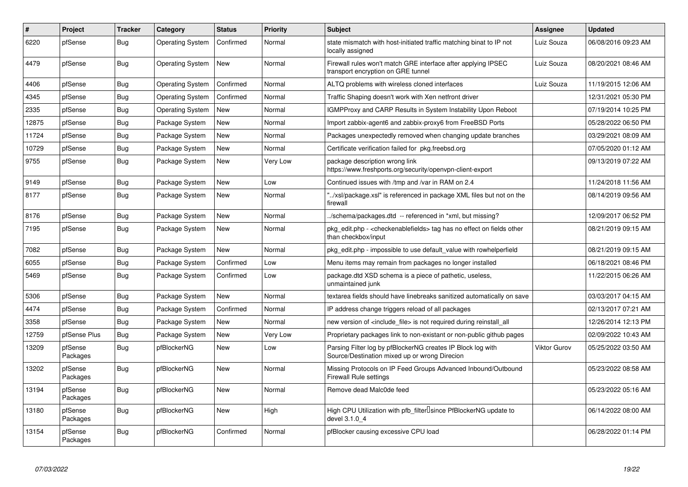| $\#$  | Project             | <b>Tracker</b> | Category                | <b>Status</b> | <b>Priority</b> | <b>Subject</b>                                                                                                   | <b>Assignee</b>     | <b>Updated</b>      |
|-------|---------------------|----------------|-------------------------|---------------|-----------------|------------------------------------------------------------------------------------------------------------------|---------------------|---------------------|
| 6220  | pfSense             | Bug            | <b>Operating System</b> | Confirmed     | Normal          | state mismatch with host-initiated traffic matching binat to IP not<br>locally assigned                          | Luiz Souza          | 06/08/2016 09:23 AM |
| 4479  | pfSense             | <b>Bug</b>     | <b>Operating System</b> | New           | Normal          | Firewall rules won't match GRE interface after applying IPSEC<br>transport encryption on GRE tunnel              | Luiz Souza          | 08/20/2021 08:46 AM |
| 4406  | pfSense             | Bug            | <b>Operating System</b> | Confirmed     | Normal          | ALTQ problems with wireless cloned interfaces                                                                    | Luiz Souza          | 11/19/2015 12:06 AM |
| 4345  | pfSense             | <b>Bug</b>     | <b>Operating System</b> | Confirmed     | Normal          | Traffic Shaping doesn't work with Xen netfront driver                                                            |                     | 12/31/2021 05:30 PM |
| 2335  | pfSense             | Bug            | <b>Operating System</b> | New           | Normal          | IGMPProxy and CARP Results in System Instability Upon Reboot                                                     |                     | 07/19/2014 10:25 PM |
| 12875 | pfSense             | <b>Bug</b>     | Package System          | New           | Normal          | Import zabbix-agent6 and zabbix-proxy6 from FreeBSD Ports                                                        |                     | 05/28/2022 06:50 PM |
| 11724 | pfSense             | Bug            | Package System          | New           | Normal          | Packages unexpectedly removed when changing update branches                                                      |                     | 03/29/2021 08:09 AM |
| 10729 | pfSense             | <b>Bug</b>     | Package System          | New           | Normal          | Certificate verification failed for pkg.freebsd.org                                                              |                     | 07/05/2020 01:12 AM |
| 9755  | pfSense             | <b>Bug</b>     | Package System          | New           | Very Low        | package description wrong link<br>https://www.freshports.org/security/openvpn-client-export                      |                     | 09/13/2019 07:22 AM |
| 9149  | pfSense             | <b>Bug</b>     | Package System          | <b>New</b>    | Low             | Continued issues with /tmp and /var in RAM on 2.4                                                                |                     | 11/24/2018 11:56 AM |
| 8177  | pfSense             | <b>Bug</b>     | Package System          | New           | Normal          | "/xsl/package.xsl" is referenced in package XML files but not on the<br>firewall                                 |                     | 08/14/2019 09:56 AM |
| 8176  | pfSense             | <b>Bug</b>     | Package System          | <b>New</b>    | Normal          | ./schema/packages.dtd -- referenced in *xml, but missing?                                                        |                     | 12/09/2017 06:52 PM |
| 7195  | pfSense             | Bug            | Package System          | New           | Normal          | pkg edit.php - <checkenablefields> tag has no effect on fields other<br/>than checkbox/input</checkenablefields> |                     | 08/21/2019 09:15 AM |
| 7082  | pfSense             | <b>Bug</b>     | Package System          | <b>New</b>    | Normal          | pkg_edit.php - impossible to use default_value with rowhelperfield                                               |                     | 08/21/2019 09:15 AM |
| 6055  | pfSense             | <b>Bug</b>     | Package System          | Confirmed     | Low             | Menu items may remain from packages no longer installed                                                          |                     | 06/18/2021 08:46 PM |
| 5469  | pfSense             | <b>Bug</b>     | Package System          | Confirmed     | Low             | package.dtd XSD schema is a piece of pathetic, useless,<br>unmaintained junk                                     |                     | 11/22/2015 06:26 AM |
| 5306  | pfSense             | <b>Bug</b>     | Package System          | New           | Normal          | textarea fields should have linebreaks sanitized automatically on save                                           |                     | 03/03/2017 04:15 AM |
| 4474  | pfSense             | <b>Bug</b>     | Package System          | Confirmed     | Normal          | IP address change triggers reload of all packages                                                                |                     | 02/13/2017 07:21 AM |
| 3358  | pfSense             | <b>Bug</b>     | Package System          | New           | Normal          | new version of <include file=""> is not required during reinstall all</include>                                  |                     | 12/26/2014 12:13 PM |
| 12759 | pfSense Plus        | <b>Bug</b>     | Package System          | New           | Very Low        | Proprietary packages link to non-existant or non-public github pages                                             |                     | 02/09/2022 10:43 AM |
| 13209 | pfSense<br>Packages | <b>Bug</b>     | pfBlockerNG             | New           | Low             | Parsing Filter log by pfBlockerNG creates IP Block log with<br>Source/Destination mixed up or wrong Direcion     | <b>Viktor Gurov</b> | 05/25/2022 03:50 AM |
| 13202 | pfSense<br>Packages | Bug            | pfBlockerNG             | New           | Normal          | Missing Protocols on IP Feed Groups Advanced Inbound/Outbound<br><b>Firewall Rule settings</b>                   |                     | 05/23/2022 08:58 AM |
| 13194 | pfSense<br>Packages | Bug            | pfBlockerNG             | <b>New</b>    | Normal          | Remove dead Malc0de feed                                                                                         |                     | 05/23/2022 05:16 AM |
| 13180 | pfSense<br>Packages | Bug            | pfBlockerNG             | <b>New</b>    | High            | High CPU Utilization with pfb_filter <sup>[]</sup> since PfBlockerNG update to<br>devel 3.1.0 4                  |                     | 06/14/2022 08:00 AM |
| 13154 | pfSense<br>Packages | <b>Bug</b>     | pfBlockerNG             | Confirmed     | Normal          | pfBlocker causing excessive CPU load                                                                             |                     | 06/28/2022 01:14 PM |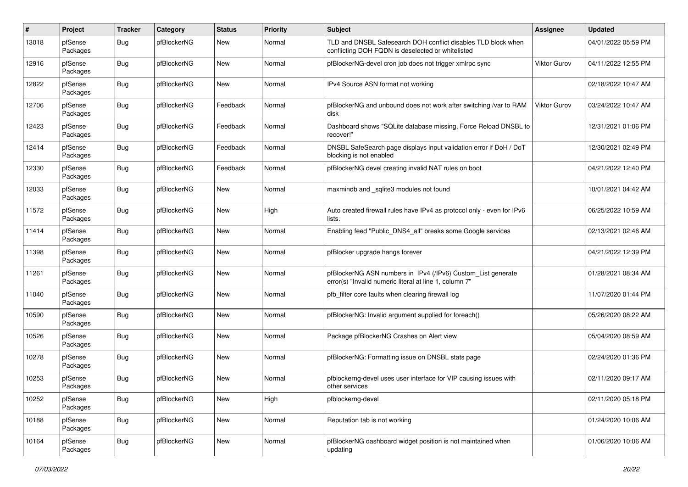| $\sharp$ | Project             | <b>Tracker</b> | Category    | <b>Status</b> | <b>Priority</b> | <b>Subject</b>                                                                                                         | <b>Assignee</b>     | <b>Updated</b>      |
|----------|---------------------|----------------|-------------|---------------|-----------------|------------------------------------------------------------------------------------------------------------------------|---------------------|---------------------|
| 13018    | pfSense<br>Packages | Bug            | pfBlockerNG | New           | Normal          | TLD and DNSBL Safesearch DOH conflict disables TLD block when<br>conflicting DOH FQDN is deselected or whitelisted     |                     | 04/01/2022 05:59 PM |
| 12916    | pfSense<br>Packages | Bug            | pfBlockerNG | New           | Normal          | pfBlockerNG-devel cron job does not trigger xmlrpc sync                                                                | Viktor Gurov        | 04/11/2022 12:55 PM |
| 12822    | pfSense<br>Packages | <b>Bug</b>     | pfBlockerNG | New           | Normal          | IPv4 Source ASN format not working                                                                                     |                     | 02/18/2022 10:47 AM |
| 12706    | pfSense<br>Packages | Bug            | pfBlockerNG | Feedback      | Normal          | pfBlockerNG and unbound does not work after switching /var to RAM<br>disk                                              | <b>Viktor Gurov</b> | 03/24/2022 10:47 AM |
| 12423    | pfSense<br>Packages | Bug            | pfBlockerNG | Feedback      | Normal          | Dashboard shows "SQLite database missing, Force Reload DNSBL to<br>recover!"                                           |                     | 12/31/2021 01:06 PM |
| 12414    | pfSense<br>Packages | <b>Bug</b>     | pfBlockerNG | Feedback      | Normal          | DNSBL SafeSearch page displays input validation error if DoH / DoT<br>blocking is not enabled                          |                     | 12/30/2021 02:49 PM |
| 12330    | pfSense<br>Packages | Bug            | pfBlockerNG | Feedback      | Normal          | pfBlockerNG devel creating invalid NAT rules on boot                                                                   |                     | 04/21/2022 12:40 PM |
| 12033    | pfSense<br>Packages | Bug            | pfBlockerNG | <b>New</b>    | Normal          | maxmindb and _sqlite3 modules not found                                                                                |                     | 10/01/2021 04:42 AM |
| 11572    | pfSense<br>Packages | <b>Bug</b>     | pfBlockerNG | New           | High            | Auto created firewall rules have IPv4 as protocol only - even for IPv6<br>lists.                                       |                     | 06/25/2022 10:59 AM |
| 11414    | pfSense<br>Packages | <b>Bug</b>     | pfBlockerNG | New           | Normal          | Enabling feed "Public_DNS4_all" breaks some Google services                                                            |                     | 02/13/2021 02:46 AM |
| 11398    | pfSense<br>Packages | Bug            | pfBlockerNG | New           | Normal          | pfBlocker upgrade hangs forever                                                                                        |                     | 04/21/2022 12:39 PM |
| 11261    | pfSense<br>Packages | Bug            | pfBlockerNG | New           | Normal          | pfBlockerNG ASN numbers in IPv4 (/IPv6) Custom_List generate<br>error(s) "Invalid numeric literal at line 1, column 7" |                     | 01/28/2021 08:34 AM |
| 11040    | pfSense<br>Packages | <b>Bug</b>     | pfBlockerNG | New           | Normal          | pfb_filter core faults when clearing firewall log                                                                      |                     | 11/07/2020 01:44 PM |
| 10590    | pfSense<br>Packages | Bug            | pfBlockerNG | New           | Normal          | pfBlockerNG: Invalid argument supplied for foreach()                                                                   |                     | 05/26/2020 08:22 AM |
| 10526    | pfSense<br>Packages | Bug            | pfBlockerNG | <b>New</b>    | Normal          | Package pfBlockerNG Crashes on Alert view                                                                              |                     | 05/04/2020 08:59 AM |
| 10278    | pfSense<br>Packages | Bug            | pfBlockerNG | New           | Normal          | pfBlockerNG: Formatting issue on DNSBL stats page                                                                      |                     | 02/24/2020 01:36 PM |
| 10253    | pfSense<br>Packages | <b>Bug</b>     | pfBlockerNG | New           | Normal          | pfblockerng-devel uses user interface for VIP causing issues with<br>other services                                    |                     | 02/11/2020 09:17 AM |
| 10252    | pfSense<br>Packages | <b>Bug</b>     | pfBlockerNG | New           | High            | pfblockerng-devel                                                                                                      |                     | 02/11/2020 05:18 PM |
| 10188    | pfSense<br>Packages | Bug            | pfBlockerNG | New           | Normal          | Reputation tab is not working                                                                                          |                     | 01/24/2020 10:06 AM |
| 10164    | pfSense<br>Packages | <b>Bug</b>     | pfBlockerNG | New           | Normal          | pfBlockerNG dashboard widget position is not maintained when<br>updating                                               |                     | 01/06/2020 10:06 AM |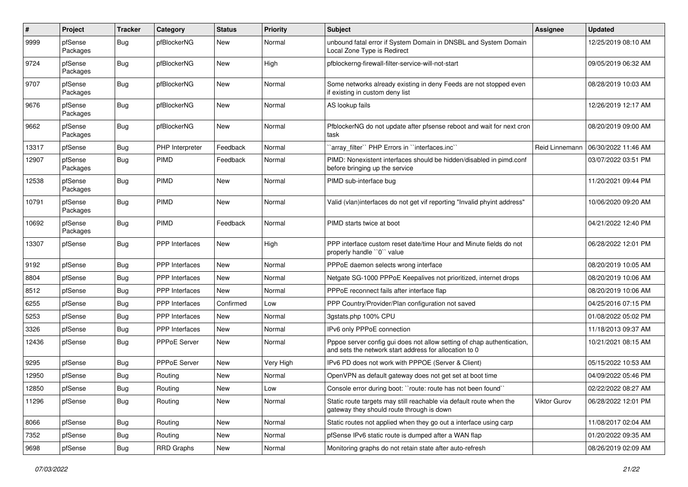| $\#$  | Project             | <b>Tracker</b> | Category              | <b>Status</b> | <b>Priority</b> | Subject                                                                                                                          | <b>Assignee</b> | <b>Updated</b>      |
|-------|---------------------|----------------|-----------------------|---------------|-----------------|----------------------------------------------------------------------------------------------------------------------------------|-----------------|---------------------|
| 9999  | pfSense<br>Packages | <b>Bug</b>     | pfBlockerNG           | New           | Normal          | unbound fatal error if System Domain in DNSBL and System Domain<br>Local Zone Type is Redirect                                   |                 | 12/25/2019 08:10 AM |
| 9724  | pfSense<br>Packages | Bug            | pfBlockerNG           | New           | High            | pfblockerng-firewall-filter-service-will-not-start                                                                               |                 | 09/05/2019 06:32 AM |
| 9707  | pfSense<br>Packages | Bug            | pfBlockerNG           | <b>New</b>    | Normal          | Some networks already existing in deny Feeds are not stopped even<br>if existing in custom deny list                             |                 | 08/28/2019 10:03 AM |
| 9676  | pfSense<br>Packages | Bug            | pfBlockerNG           | New           | Normal          | AS lookup fails                                                                                                                  |                 | 12/26/2019 12:17 AM |
| 9662  | pfSense<br>Packages | Bug            | pfBlockerNG           | New           | Normal          | PfblockerNG do not update after pfsense reboot and wait for next cron<br>task                                                    |                 | 08/20/2019 09:00 AM |
| 13317 | pfSense             | <b>Bug</b>     | PHP Interpreter       | Feedback      | Normal          | `array_filter`` PHP Errors in ``interfaces.inc``                                                                                 | Reid Linnemann  | 06/30/2022 11:46 AM |
| 12907 | pfSense<br>Packages | Bug            | <b>PIMD</b>           | Feedback      | Normal          | PIMD: Nonexistent interfaces should be hidden/disabled in pimd.conf<br>before bringing up the service                            |                 | 03/07/2022 03:51 PM |
| 12538 | pfSense<br>Packages | Bug            | <b>PIMD</b>           | New           | Normal          | PIMD sub-interface bug                                                                                                           |                 | 11/20/2021 09:44 PM |
| 10791 | pfSense<br>Packages | Bug            | PIMD                  | <b>New</b>    | Normal          | Valid (vlan)interfaces do not get vif reporting "Invalid phyint address"                                                         |                 | 10/06/2020 09:20 AM |
| 10692 | pfSense<br>Packages | Bug            | PIMD                  | Feedback      | Normal          | PIMD starts twice at boot                                                                                                        |                 | 04/21/2022 12:40 PM |
| 13307 | pfSense             | Bug            | <b>PPP</b> Interfaces | New           | High            | PPP interface custom reset date/time Hour and Minute fields do not<br>properly handle "0" value                                  |                 | 06/28/2022 12:01 PM |
| 9192  | pfSense             | Bug            | PPP Interfaces        | New           | Normal          | PPPoE daemon selects wrong interface                                                                                             |                 | 08/20/2019 10:05 AM |
| 8804  | pfSense             | Bug            | <b>PPP</b> Interfaces | New           | Normal          | Netgate SG-1000 PPPoE Keepalives not prioritized, internet drops                                                                 |                 | 08/20/2019 10:06 AM |
| 8512  | pfSense             | Bug            | PPP Interfaces        | <b>New</b>    | Normal          | PPPoE reconnect fails after interface flap                                                                                       |                 | 08/20/2019 10:06 AM |
| 6255  | pfSense             | Bug            | <b>PPP</b> Interfaces | Confirmed     | Low             | PPP Country/Provider/Plan configuration not saved                                                                                |                 | 04/25/2016 07:15 PM |
| 5253  | pfSense             | Bug            | <b>PPP</b> Interfaces | New           | Normal          | 3gstats.php 100% CPU                                                                                                             |                 | 01/08/2022 05:02 PM |
| 3326  | pfSense             | Bug            | PPP Interfaces        | New           | Normal          | IPv6 only PPPoE connection                                                                                                       |                 | 11/18/2013 09:37 AM |
| 12436 | pfSense             | Bug            | PPPoE Server          | New           | Normal          | Pppoe server config gui does not allow setting of chap authentication,<br>and sets the network start address for allocation to 0 |                 | 10/21/2021 08:15 AM |
| 9295  | pfSense             | <b>Bug</b>     | PPPoE Server          | New           | Very High       | IPv6 PD does not work with PPPOE (Server & Client)                                                                               |                 | 05/15/2022 10:53 AM |
| 12950 | pfSense             | Bug            | Routing               | New           | Normal          | OpenVPN as default gateway does not get set at boot time                                                                         |                 | 04/09/2022 05:46 PM |
| 12850 | pfSense             | Bug            | Routing               | New           | Low             | Console error during boot: "route: route has not been found"                                                                     |                 | 02/22/2022 08:27 AM |
| 11296 | pfSense             | Bug            | Routing               | New           | Normal          | Static route targets may still reachable via default route when the<br>gateway they should route through is down                 | Viktor Gurov    | 06/28/2022 12:01 PM |
| 8066  | pfSense             | Bug            | Routing               | New           | Normal          | Static routes not applied when they go out a interface using carp                                                                |                 | 11/08/2017 02:04 AM |
| 7352  | pfSense             | Bug            | Routing               | New           | Normal          | pfSense IPv6 static route is dumped after a WAN flap                                                                             |                 | 01/20/2022 09:35 AM |
| 9698  | pfSense             | <b>Bug</b>     | <b>RRD Graphs</b>     | New           | Normal          | Monitoring graphs do not retain state after auto-refresh                                                                         |                 | 08/26/2019 02:09 AM |